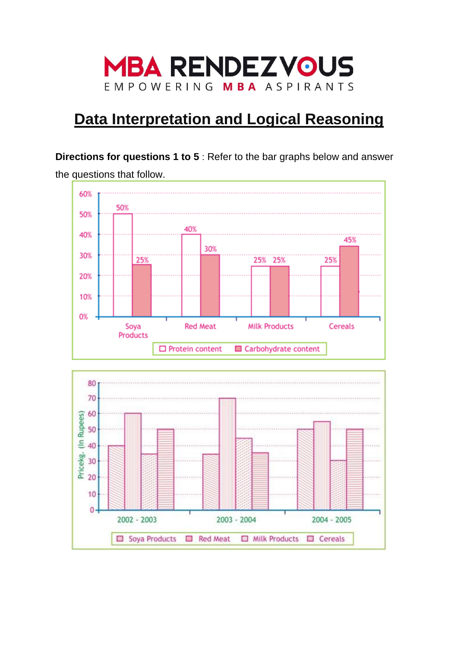

# **Data Interpretation and Logical Reasoning**

**Directions for questions 1 to 5** : Refer to the bar graphs below and answer the questions that follow.



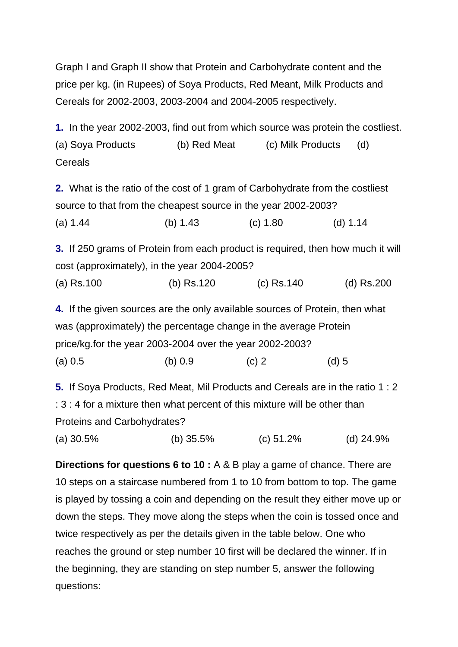Graph I and Graph II show that Protein and Carbohydrate content and the price per kg. (in Rupees) of Soya Products, Red Meant, Milk Products and Cereals for 2002-2003, 2003-2004 and 2004-2005 respectively.

**1.** In the year 2002-2003, find out from which source was protein the costliest. (a) Soya Products (b) Red Meat (c) Milk Products (d) Cereals

**2.** What is the ratio of the cost of 1 gram of Carbohydrate from the costliest source to that from the cheapest source in the year 2002-2003? (a) 1.44 (b) 1.43 (c) 1.80 (d) 1.14

**3.** If 250 grams of Protein from each product is required, then how much it will cost (approximately), in the year 2004-2005?

(a) Rs.100 (b) Rs.120 (c) Rs.140 (d) Rs.200

**4.** If the given sources are the only available sources of Protein, then what was (approximately) the percentage change in the average Protein price/kg.for the year 2003-2004 over the year 2002-2003? (a)  $0.5$  (b)  $0.9$  (c) 2 (d) 5

**5.** If Soya Products, Red Meat, Mil Products and Cereals are in the ratio 1 : 2 : 3 : 4 for a mixture then what percent of this mixture will be other than Proteins and Carbohydrates?

(a) 30.5% (b) 35.5% (c) 51.2% (d) 24.9%

**Directions for questions 6 to 10 :** A & B play a game of chance. There are 10 steps on a staircase numbered from 1 to 10 from bottom to top. The game is played by tossing a coin and depending on the result they either move up or down the steps. They move along the steps when the coin is tossed once and twice respectively as per the details given in the table below. One who reaches the ground or step number 10 first will be declared the winner. If in the beginning, they are standing on step number 5, answer the following questions: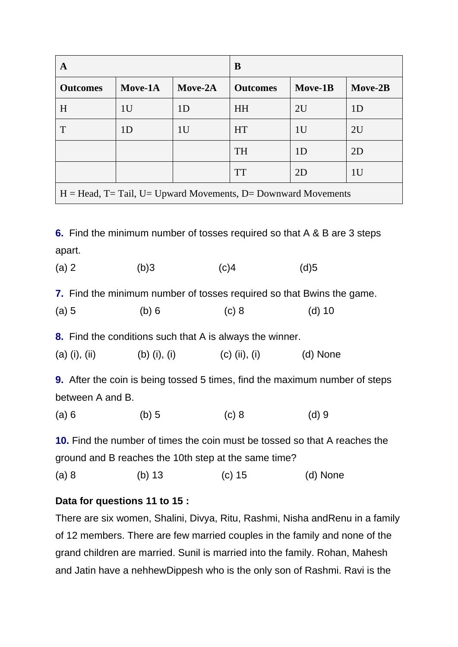| A                                                                |                | B              |                 |                |                |
|------------------------------------------------------------------|----------------|----------------|-----------------|----------------|----------------|
| <b>Outcomes</b>                                                  | Move-1A        | Move-2A        | <b>Outcomes</b> | Move-1B        | Move-2B        |
| H                                                                | 1 <sub>U</sub> | 1 <sub>D</sub> | <b>HH</b>       | 2U             | 1 <sub>D</sub> |
| T                                                                | 1 <sub>D</sub> | 1 <sub>U</sub> | <b>HT</b>       | 1 <sub>U</sub> | 2U             |
|                                                                  |                |                | <b>TH</b>       | 1 <sub>D</sub> | 2D             |
|                                                                  |                |                | <b>TT</b>       | 2D             | 1 <sub>U</sub> |
| $H = Head$ , T= Tail, U= Upward Movements, D= Downward Movements |                |                |                 |                |                |

**6.** Find the minimum number of tosses required so that A & B are 3 steps apart.

(a) 2 (b) 3 (c) 4 (d) 5

**7.** Find the minimum number of tosses required so that Bwins the game.

| (a) 5 | (b) 6 | (c) 8 | (d) $10$ |
|-------|-------|-------|----------|
|       |       |       |          |

**8.** Find the conditions such that A is always the winner.

(a) (i), (ii) (b) (i), (i) (c) (ii), (i) (d) None

**9.** After the coin is being tossed 5 times, find the maximum number of steps between A and B.

(a) 6 (b) 5 (c) 8 (d) 9

**10.** Find the number of times the coin must be tossed so that A reaches the ground and B reaches the 10th step at the same time?

(a) 8 (b) 13 (c) 15 (d) None

## **Data for questions 11 to 15 :**

There are six women, Shalini, Divya, Ritu, Rashmi, Nisha andRenu in a family of 12 members. There are few married couples in the family and none of the grand children are married. Sunil is married into the family. Rohan, Mahesh and Jatin have a nehhewDippesh who is the only son of Rashmi. Ravi is the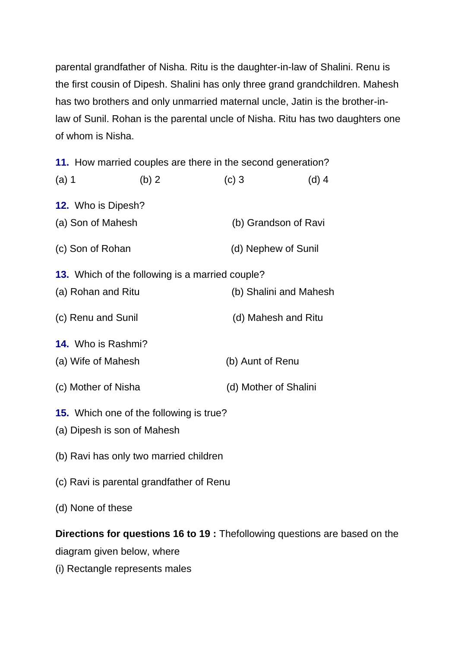parental grandfather of Nisha. Ritu is the daughter-in-law of Shalini. Renu is the first cousin of Dipesh. Shalini has only three grand grandchildren. Mahesh has two brothers and only unmarried maternal uncle, Jatin is the brother-inlaw of Sunil. Rohan is the parental uncle of Nisha. Ritu has two daughters one of whom is Nisha.

**11.** How married couples are there in the second generation?

| $(a)$ 1                   | (b) 2                                                  | $(c)$ 3               | $(d)$ 4                |
|---------------------------|--------------------------------------------------------|-----------------------|------------------------|
| <b>12.</b> Who is Dipesh? |                                                        |                       |                        |
| (a) Son of Mahesh         |                                                        |                       | (b) Grandson of Ravi   |
| (c) Son of Rohan          |                                                        | (d) Nephew of Sunil   |                        |
|                           | <b>13.</b> Which of the following is a married couple? |                       |                        |
| (a) Rohan and Ritu        |                                                        |                       | (b) Shalini and Mahesh |
| (c) Renu and Sunil        |                                                        | (d) Mahesh and Ritu   |                        |
| 14. Who is Rashmi?        |                                                        |                       |                        |
| (a) Wife of Mahesh        |                                                        | (b) Aunt of Renu      |                        |
| (c) Mother of Nisha       |                                                        | (d) Mother of Shalini |                        |
|                           | <b>15.</b> Which one of the following is true?         |                       |                        |
|                           | (a) Dipesh is son of Mahesh                            |                       |                        |
|                           | (b) Ravi has only two married children                 |                       |                        |

- (c) Ravi is parental grandfather of Renu
- (d) None of these

# **Directions for questions 16 to 19 :** Thefollowing questions are based on the diagram given below, where

(i) Rectangle represents males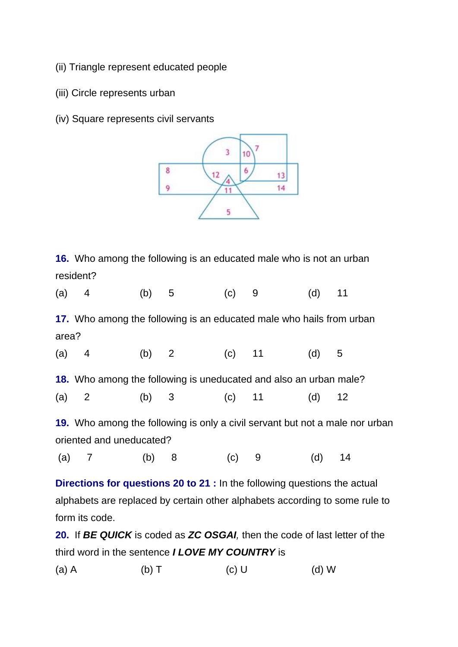- (ii) Triangle represent educated people
- (iii) Circle represents urban
- (iv) Square represents civil servants



**16.** Who among the following is an educated male who is not an urban resident?

|       | $(a)$ 4                                                                          |  | (b) 5 |  | $(C)$ 9 | (d)      | 11 |
|-------|----------------------------------------------------------------------------------|--|-------|--|---------|----------|----|
|       | 17. Who among the following is an educated male who hails from urban             |  |       |  |         |          |    |
| area? |                                                                                  |  |       |  |         |          |    |
|       | (a) 4 (b) 2 (c) 11 (d) 5                                                         |  |       |  |         |          |    |
|       | 18. Who among the following is uneducated and also an urban male?                |  |       |  |         |          |    |
|       | (a) 2 (b) 3 (c) 11                                                               |  |       |  |         | (d)      | 12 |
|       | 19. Who among the following is only a civil servant but not a male nor urban     |  |       |  |         |          |    |
|       | oriented and uneducated?                                                         |  |       |  |         |          |    |
|       | (a) 7 (b) 8                                                                      |  |       |  | $(c)$ 9 | $(d)$ 14 |    |
|       | <b>Directions for questions 20 to 21 :</b> In the following questions the actual |  |       |  |         |          |    |
|       | alphabets are replaced by certain other alphabets according to some rule to      |  |       |  |         |          |    |

form its code.

**20.** If *BE QUICK* is coded as *ZC OSGAI,* then the code of last letter of the third word in the sentence *I LOVE MY COUNTRY* is

(a) A (b) T (c) U (d) W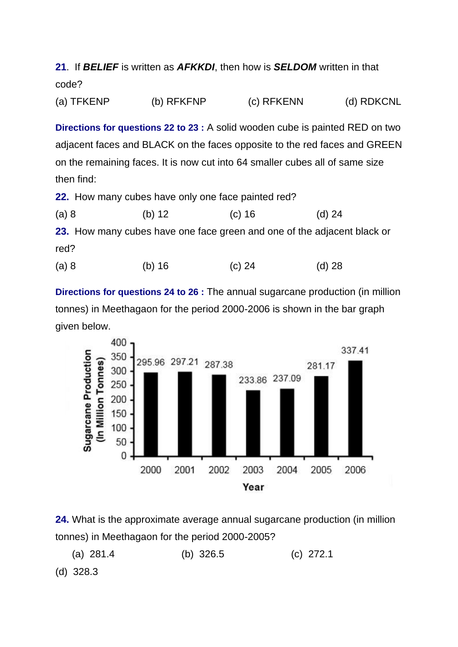**21**. If *BELIEF* is written as *AFKKDI*, then how is *SELDOM* written in that code?

(a) TFKENP (b) RFKFNP (c) RFKENN (d) RDKCNL

**Directions for questions 22 to 23 :** A solid wooden cube is painted RED on two adjacent faces and BLACK on the faces opposite to the red faces and GREEN on the remaining faces. It is now cut into 64 smaller cubes all of same size then find:

**22.** How many cubes have only one face painted red?

(a) 8 (b) 12 (c) 16 (d) 24

**23.** How many cubes have one face green and one of the adjacent black or red?

(a) 8 (b) 16 (c) 24 (d) 28

**Directions for questions 24 to 26 :** The annual sugarcane production (in million tonnes) in Meethagaon for the period 2000-2006 is shown in the bar graph given below.



**24.** What is the approximate average annual sugarcane production (in million tonnes) in Meethagaon for the period 2000-2005?

(a) 281.4 (b) 326.5 (c) 272.1

(d) 328.3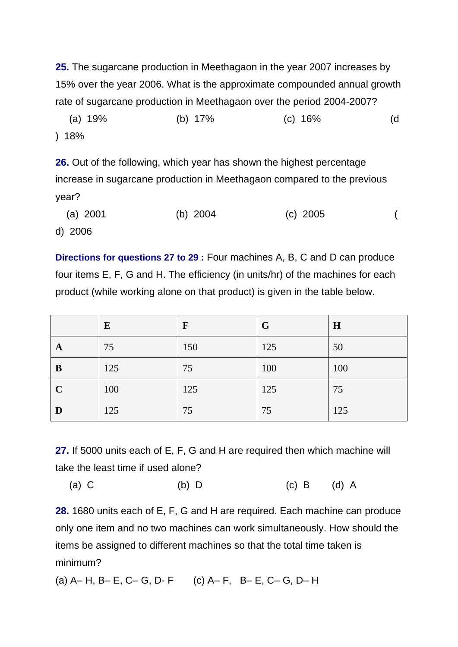**25.** The sugarcane production in Meethagaon in the year 2007 increases by 15% over the year 2006. What is the approximate compounded annual growth rate of sugarcane production in Meethagaon over the period 2004-2007?

 (a) 19% (b) 17% (c) 16% (d ) 18%

**26.** Out of the following, which year has shown the highest percentage increase in sugarcane production in Meethagaon compared to the previous year?

 (a) 2001 (b) 2004 (c) 2005 ( d) 2006

**Directions for questions 27 to 29 :** Four machines A, B, C and D can produce four items E, F, G and H. The efficiency (in units/hr) of the machines for each product (while working alone on that product) is given in the table below.

|             | ${\bf E}$ | $\mathbf F$ | G   | H   |
|-------------|-----------|-------------|-----|-----|
| A           | 75        | 150         | 125 | 50  |
| B           | 125       | 75          | 100 | 100 |
| $\mathbf C$ | 100       | 125         | 125 | 75  |
| D           | 125       | 75          | 75  | 125 |

**27.** If 5000 units each of E, F, G and H are required then which machine will take the least time if used alone?

(a) C (b) D (c) B (d) A

**28.** 1680 units each of E, F, G and H are required. Each machine can produce only one item and no two machines can work simultaneously. How should the items be assigned to different machines so that the total time taken is minimum?

(a) A– H, B– E, C– G, D- F (c) A– F, B– E, C– G, D– H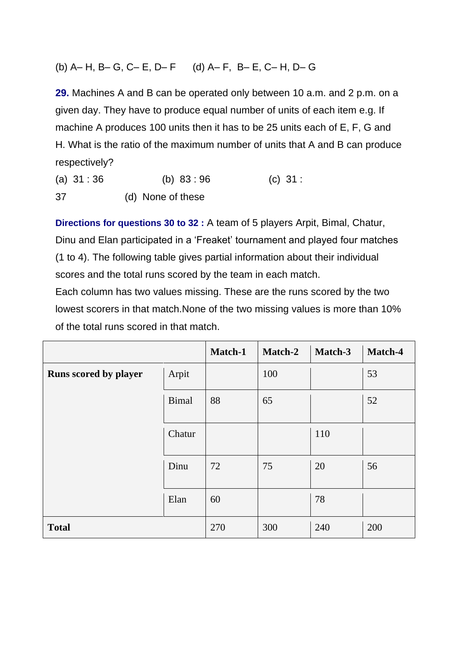## (b) A– H, B– G, C– E, D– F (d) A– F, B– E, C– H, D– G

**29.** Machines A and B can be operated only between 10 a.m. and 2 p.m. on a given day. They have to produce equal number of units of each item e.g. If machine A produces 100 units then it has to be 25 units each of E, F, G and H. What is the ratio of the maximum number of units that A and B can produce respectively?

(a) 31 : 36 (b) 83 : 96 (c) 31 : 37 (d) None of these

**Directions for questions 30 to 32 :** A team of 5 players Arpit, Bimal, Chatur, Dinu and Elan participated in a 'Freaket' tournament and played four matches (1 to 4). The following table gives partial information about their individual scores and the total runs scored by the team in each match.

Each column has two values missing. These are the runs scored by the two lowest scorers in that match.None of the two missing values is more than 10% of the total runs scored in that match.

|                       |              | Match-1 | <b>Match-2</b> | Match-3 | Match-4 |
|-----------------------|--------------|---------|----------------|---------|---------|
| Runs scored by player | Arpit        |         | 100            |         | 53      |
|                       | <b>Bimal</b> | 88      | 65             |         | 52      |
|                       | Chatur       |         |                | 110     |         |
|                       | Dinu         | 72      | 75             | 20      | 56      |
|                       | Elan         | 60      |                | 78      |         |
| <b>Total</b>          |              | 270     | 300            | 240     | 200     |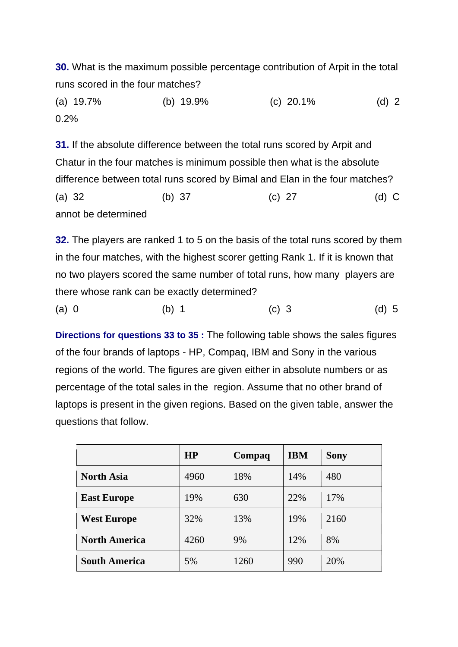**30.** What is the maximum possible percentage contribution of Arpit in the total runs scored in the four matches?

(a) 19.7% (b) 19.9% (c) 20.1% (d) 2 0.2%

**31.** If the absolute difference between the total runs scored by Arpit and Chatur in the four matches is minimum possible then what is the absolute difference between total runs scored by Bimal and Elan in the four matches? (a) 32 (b) 37 (c) 27 (d) C annot be determined

**32.** The players are ranked 1 to 5 on the basis of the total runs scored by them in the four matches, with the highest scorer getting Rank 1. If it is known that no two players scored the same number of total runs, how many players are there whose rank can be exactly determined?

(a) 0 (b) 1 (c) 3 (d) 5

**Directions for questions 33 to 35 :** The following table shows the sales figures of the four brands of laptops - HP, Compaq, IBM and Sony in the various regions of the world. The figures are given either in absolute numbers or as percentage of the total sales in the region. Assume that no other brand of laptops is present in the given regions. Based on the given table, answer the questions that follow.

|                      | HP   | Compaq | <b>IBM</b> | <b>Sony</b> |
|----------------------|------|--------|------------|-------------|
| <b>North Asia</b>    | 4960 | 18%    | 14%        | 480         |
| <b>East Europe</b>   | 19%  | 630    | 22%        | 17%         |
| <b>West Europe</b>   | 32%  | 13%    | 19%        | 2160        |
| <b>North America</b> | 4260 | 9%     | 12%        | 8%          |
| <b>South America</b> | 5%   | 1260   | 990        | 20%         |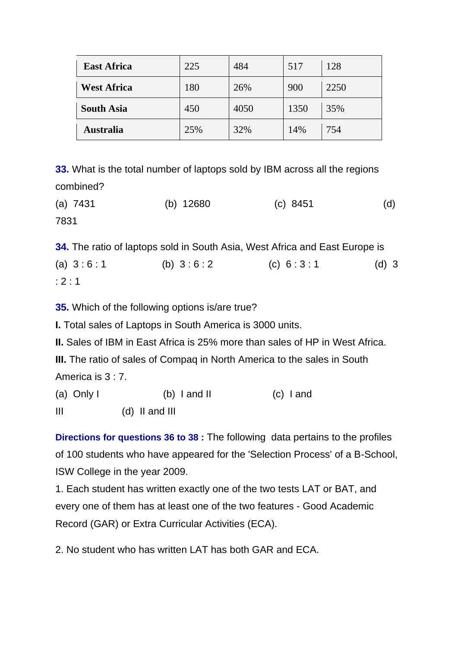| <b>East Africa</b> | 225 | 484  | 517  | 128  |
|--------------------|-----|------|------|------|
| <b>West Africa</b> | 180 | 26%  | 900  | 2250 |
| <b>South Asia</b>  | 450 | 4050 | 1350 | 35%  |
| <b>Australia</b>   | 25% | 32%  | 14%  | 754  |

**33.** What is the total number of laptops sold by IBM across all the regions combined?

| $(a)$ 7431 | (b) $12680$ | (c) 8451 | (d) |
|------------|-------------|----------|-----|
| 7831       |             |          |     |

**34.** The ratio of laptops sold in South Asia, West Africa and East Europe is (a)  $3:6:1$  (b)  $3:6:2$  (c)  $6:3:1$  (d) 3 : 2 : 1

**35.** Which of the following options is/are true?

**I.** Total sales of Laptops in South America is 3000 units.

**II.** Sales of IBM in East Africa is 25% more than sales of HP in West Africa.

**III.** The ratio of sales of Compaq in North America to the sales in South America is 3 : 7.

| (a) Only I | $(b)$ I and II | (c) land |
|------------|----------------|----------|
|            |                |          |

III (d) II and III

**Directions for questions 36 to 38 :** The following data pertains to the profiles of 100 students who have appeared for the 'Selection Process' of a B-School, ISW College in the year 2009.

1. Each student has written exactly one of the two tests LAT or BAT, and every one of them has at least one of the two features - Good Academic Record (GAR) or Extra Curricular Activities (ECA).

2. No student who has written LAT has both GAR and ECA.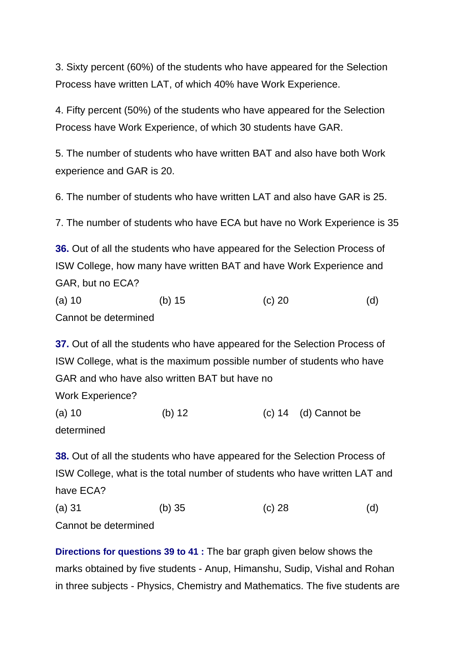3. Sixty percent (60%) of the students who have appeared for the Selection Process have written LAT, of which 40% have Work Experience.

4. Fifty percent (50%) of the students who have appeared for the Selection Process have Work Experience, of which 30 students have GAR.

5. The number of students who have written BAT and also have both Work experience and GAR is 20.

6. The number of students who have written LAT and also have GAR is 25.

7. The number of students who have ECA but have no Work Experience is 35

**36.** Out of all the students who have appeared for the Selection Process of ISW College, how many have written BAT and have Work Experience and GAR, but no ECA?

(a) 10 (b) 15 (c) 20 (d) Cannot be determined

**37.** Out of all the students who have appeared for the Selection Process of ISW College, what is the maximum possible number of students who have GAR and who have also written BAT but have no Work Experience? (a) 10 (b) 12 (c) 14 (d) Cannot be determined

**38.** Out of all the students who have appeared for the Selection Process of ISW College, what is the total number of students who have written LAT and have ECA?

| (a) 31               | (b) 35 | (c) 28 | (d) |
|----------------------|--------|--------|-----|
| Cannot be determined |        |        |     |

**Directions for questions 39 to 41 :** The bar graph given below shows the marks obtained by five students - Anup, Himanshu, Sudip, Vishal and Rohan in three subjects - Physics, Chemistry and Mathematics. The five students are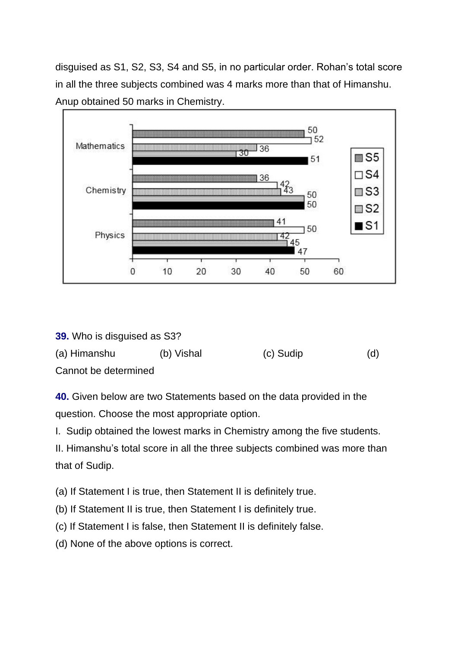disguised as S1, S2, S3, S4 and S5, in no particular order. Rohan's total score in all the three subjects combined was 4 marks more than that of Himanshu. Anup obtained 50 marks in Chemistry.



**39.** Who is disguised as S3?

| (a) Himanshu         | (b) Vishal | (c) Sudip | (d) |
|----------------------|------------|-----------|-----|
| Cannot be determined |            |           |     |

**40.** Given below are two Statements based on the data provided in the question. Choose the most appropriate option.

I. Sudip obtained the lowest marks in Chemistry among the five students.

II. Himanshu's total score in all the three subjects combined was more than that of Sudip.

(a) If Statement I is true, then Statement II is definitely true.

- (b) If Statement II is true, then Statement I is definitely true.
- (c) If Statement I is false, then Statement II is definitely false.
- (d) None of the above options is correct.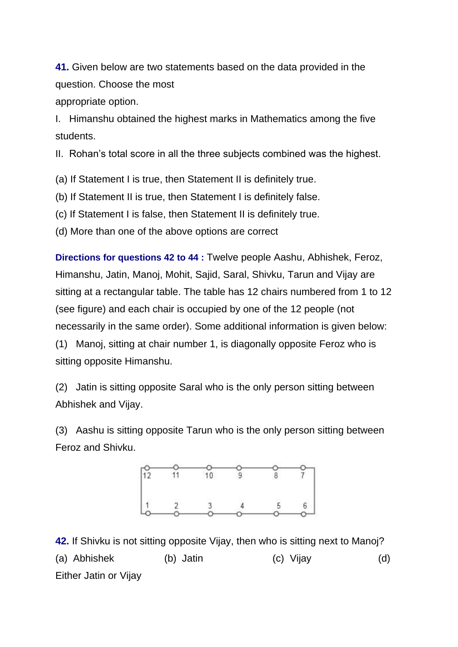**41.** Given below are two statements based on the data provided in the question. Choose the most appropriate option.

I. Himanshu obtained the highest marks in Mathematics among the five students.

II. Rohan's total score in all the three subjects combined was the highest.

(a) If Statement I is true, then Statement II is definitely true.

(b) If Statement II is true, then Statement I is definitely false.

(c) If Statement I is false, then Statement II is definitely true.

(d) More than one of the above options are correct

**Directions for questions 42 to 44 :** Twelve people Aashu, Abhishek, Feroz, Himanshu, Jatin, Manoj, Mohit, Sajid, Saral, Shivku, Tarun and Vijay are sitting at a rectangular table. The table has 12 chairs numbered from 1 to 12 (see figure) and each chair is occupied by one of the 12 people (not necessarily in the same order). Some additional information is given below: (1) Manoj, sitting at chair number 1, is diagonally opposite Feroz who is sitting opposite Himanshu.

(2) Jatin is sitting opposite Saral who is the only person sitting between Abhishek and Vijay.

(3) Aashu is sitting opposite Tarun who is the only person sitting between Feroz and Shivku.



**42.** If Shivku is not sitting opposite Vijay, then who is sitting next to Manoj? (a) Abhishek (b) Jatin (c) Vijay (d) Either Jatin or Vijay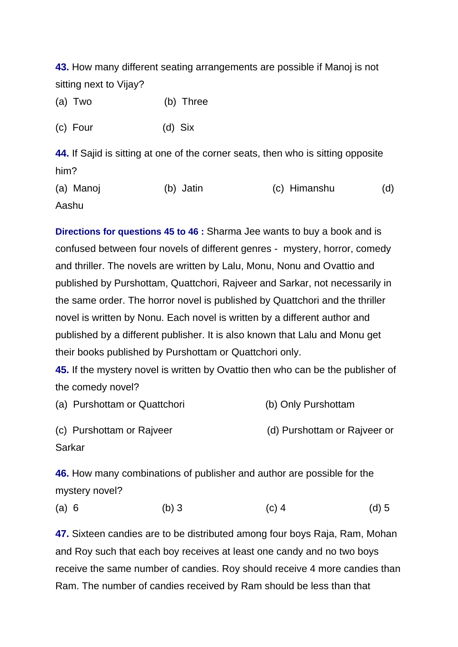**43.** How many different seating arrangements are possible if Manoj is not sitting next to Vijay?

| (a) Two | (b) Three |
|---------|-----------|
|---------|-----------|

(c) Four (d) Six

**44.** If Sajid is sitting at one of the corner seats, then who is sitting opposite him?

(a) Manoj (b) Jatin (c) Himanshu (d) Aashu

**Directions for questions 45 to 46 :** Sharma Jee wants to buy a book and is confused between four novels of different genres - mystery, horror, comedy and thriller. The novels are written by Lalu, Monu, Nonu and Ovattio and published by Purshottam, Quattchori, Rajveer and Sarkar, not necessarily in the same order. The horror novel is published by Quattchori and the thriller novel is written by Nonu. Each novel is written by a different author and published by a different publisher. It is also known that Lalu and Monu get their books published by Purshottam or Quattchori only.

**45.** If the mystery novel is written by Ovattio then who can be the publisher of the comedy novel?

| (a) Purshottam or Quattchori | (b) Only Purshottam          |
|------------------------------|------------------------------|
| (c) Purshottam or Rajveer    | (d) Purshottam or Rajveer or |
| Sarkar                       |                              |

**46.** How many combinations of publisher and author are possible for the mystery novel?

(a) 6 (b) 3 (c) 4 (d) 5

**47.** Sixteen candies are to be distributed among four boys Raja, Ram, Mohan and Roy such that each boy receives at least one candy and no two boys receive the same number of candies. Roy should receive 4 more candies than Ram. The number of candies received by Ram should be less than that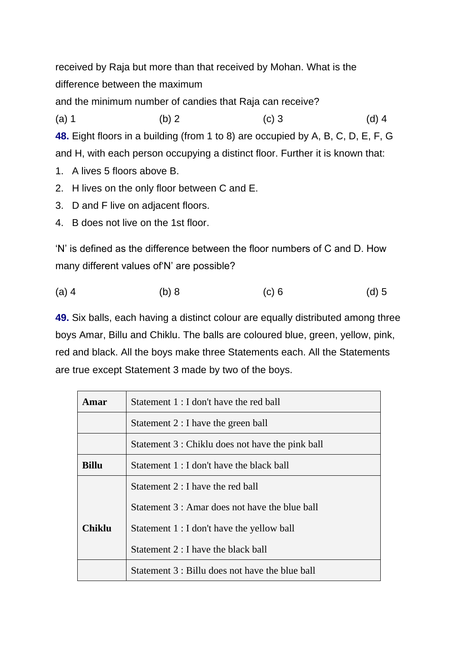received by Raja but more than that received by Mohan. What is the difference between the maximum

and the minimum number of candies that Raja can receive?

(a) 1 (b) 2 (c) 3 (d) 4

**48.** Eight floors in a building (from 1 to 8) are occupied by A, B, C, D, E, F, G and H, with each person occupying a distinct floor. Further it is known that:

- 1. A lives 5 floors above B.
- 2. H lives on the only floor between C and E.
- 3. D and F live on adjacent floors.
- 4. B does not live on the 1st floor.

'N' is defined as the difference between the floor numbers of C and D. How many different values of'N' are possible?

| $(a)$ 4 | (b) 8 | $(c)$ 6 | $(d)$ 5 |
|---------|-------|---------|---------|
|         |       |         |         |

**49.** Six balls, each having a distinct colour are equally distributed among three boys Amar, Billu and Chiklu. The balls are coloured blue, green, yellow, pink, red and black. All the boys make three Statements each. All the Statements are true except Statement 3 made by two of the boys.

| Amar          | Statement 1 : I don't have the red ball          |  |  |  |  |  |
|---------------|--------------------------------------------------|--|--|--|--|--|
|               | Statement 2 : I have the green ball              |  |  |  |  |  |
|               | Statement 3 : Chiklu does not have the pink ball |  |  |  |  |  |
| Billu         | Statement 1 : I don't have the black ball        |  |  |  |  |  |
|               | Statement 2 : I have the red ball                |  |  |  |  |  |
|               | Statement 3 : Amar does not have the blue ball   |  |  |  |  |  |
| <b>Chiklu</b> | Statement 1 : I don't have the yellow ball       |  |  |  |  |  |
|               | Statement 2 : I have the black ball              |  |  |  |  |  |
|               | Statement 3 : Billu does not have the blue ball  |  |  |  |  |  |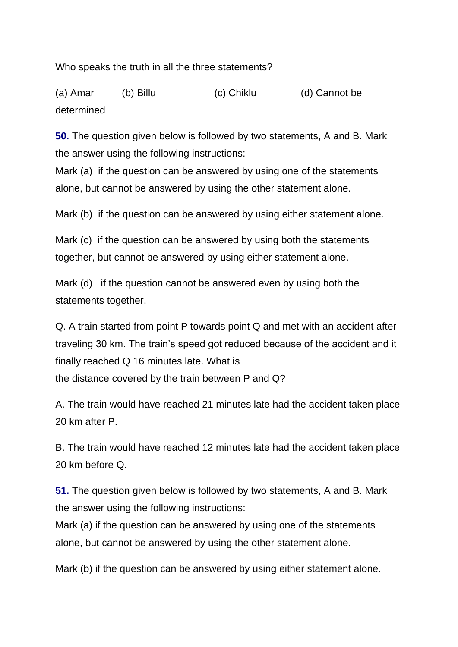Who speaks the truth in all the three statements?

(a) Amar (b) Billu (c) Chiklu (d) Cannot be determined

**50.** The question given below is followed by two statements, A and B. Mark the answer using the following instructions:

Mark (a) if the question can be answered by using one of the statements alone, but cannot be answered by using the other statement alone.

Mark (b) if the question can be answered by using either statement alone.

Mark (c) if the question can be answered by using both the statements together, but cannot be answered by using either statement alone.

Mark (d) if the question cannot be answered even by using both the statements together.

Q. A train started from point P towards point Q and met with an accident after traveling 30 km. The train's speed got reduced because of the accident and it finally reached Q 16 minutes late. What is the distance covered by the train between P and Q?

A. The train would have reached 21 minutes late had the accident taken place 20 km after P.

B. The train would have reached 12 minutes late had the accident taken place 20 km before Q.

**51.** The question given below is followed by two statements, A and B. Mark the answer using the following instructions:

Mark (a) if the question can be answered by using one of the statements alone, but cannot be answered by using the other statement alone.

Mark (b) if the question can be answered by using either statement alone.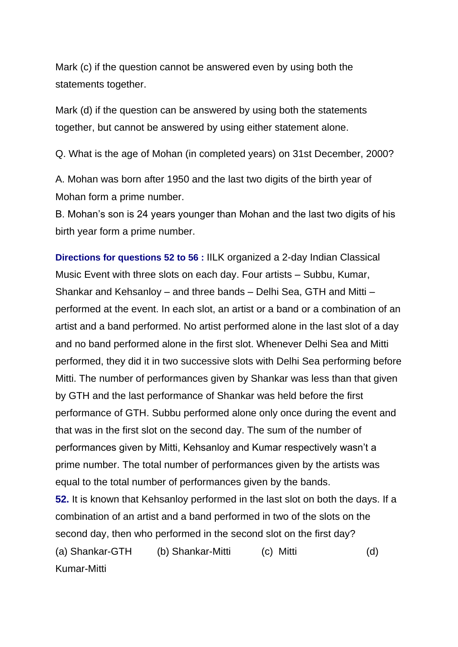Mark (c) if the question cannot be answered even by using both the statements together.

Mark (d) if the question can be answered by using both the statements together, but cannot be answered by using either statement alone.

Q. What is the age of Mohan (in completed years) on 31st December, 2000?

A. Mohan was born after 1950 and the last two digits of the birth year of Mohan form a prime number.

B. Mohan's son is 24 years younger than Mohan and the last two digits of his birth year form a prime number.

**Directions for questions 52 to 56 :** IILK organized a 2-day Indian Classical Music Event with three slots on each day. Four artists – Subbu, Kumar, Shankar and Kehsanloy – and three bands – Delhi Sea, GTH and Mitti – performed at the event. In each slot, an artist or a band or a combination of an artist and a band performed. No artist performed alone in the last slot of a day and no band performed alone in the first slot. Whenever Delhi Sea and Mitti performed, they did it in two successive slots with Delhi Sea performing before Mitti. The number of performances given by Shankar was less than that given by GTH and the last performance of Shankar was held before the first performance of GTH. Subbu performed alone only once during the event and that was in the first slot on the second day. The sum of the number of performances given by Mitti, Kehsanloy and Kumar respectively wasn't a prime number. The total number of performances given by the artists was equal to the total number of performances given by the bands. **52.** It is known that Kehsanloy performed in the last slot on both the days. If a combination of an artist and a band performed in two of the slots on the second day, then who performed in the second slot on the first day?

(a) Shankar-GTH (b) Shankar-Mitti (c) Mitti (d) Kumar-Mitti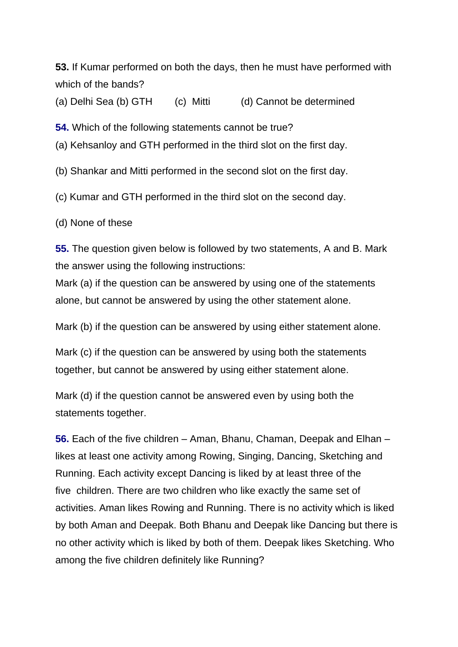**53.** If Kumar performed on both the days, then he must have performed with which of the bands?

(a) Delhi Sea (b) GTH (c) Mitti (d) Cannot be determined

**54.** Which of the following statements cannot be true?

(a) Kehsanloy and GTH performed in the third slot on the first day.

(b) Shankar and Mitti performed in the second slot on the first day.

(c) Kumar and GTH performed in the third slot on the second day.

(d) None of these

**55.** The question given below is followed by two statements, A and B. Mark the answer using the following instructions:

Mark (a) if the question can be answered by using one of the statements alone, but cannot be answered by using the other statement alone.

Mark (b) if the question can be answered by using either statement alone.

Mark (c) if the question can be answered by using both the statements together, but cannot be answered by using either statement alone.

Mark (d) if the question cannot be answered even by using both the statements together.

**56.** Each of the five children – Aman, Bhanu, Chaman, Deepak and Elhan – likes at least one activity among Rowing, Singing, Dancing, Sketching and Running. Each activity except Dancing is liked by at least three of the five children. There are two children who like exactly the same set of activities. Aman likes Rowing and Running. There is no activity which is liked by both Aman and Deepak. Both Bhanu and Deepak like Dancing but there is no other activity which is liked by both of them. Deepak likes Sketching. Who among the five children definitely like Running?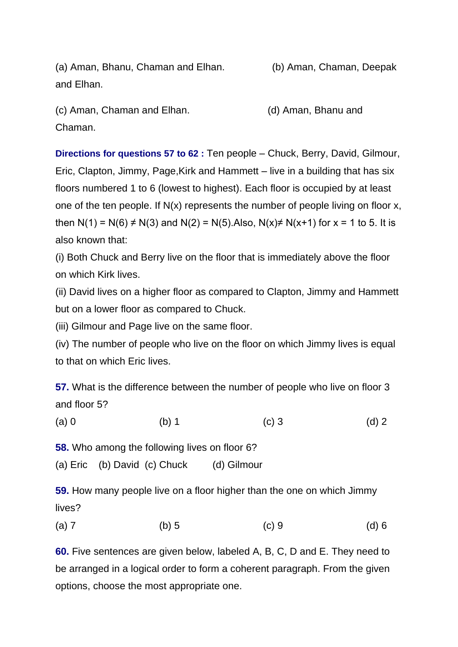(a) Aman, Bhanu, Chaman and Elhan. (b) Aman, Chaman, Deepak and Elhan.

(c) Aman, Chaman and Elhan. (d) Aman, Bhanu and Chaman.

**Directions for questions 57 to 62 :** Ten people – Chuck, Berry, David, Gilmour, Eric, Clapton, Jimmy, Page,Kirk and Hammett – live in a building that has six floors numbered 1 to 6 (lowest to highest). Each floor is occupied by at least one of the ten people. If N(x) represents the number of people living on floor x, then N(1) = N(6)  $\neq$  N(3) and N(2) = N(5). Also, N(x) $\neq$  N(x+1) for x = 1 to 5. It is also known that:

(i) Both Chuck and Berry live on the floor that is immediately above the floor on which Kirk lives.

(ii) David lives on a higher floor as compared to Clapton, Jimmy and Hammett but on a lower floor as compared to Chuck.

(iii) Gilmour and Page live on the same floor.

(iv) The number of people who live on the floor on which Jimmy lives is equal to that on which Eric lives.

**57.** What is the difference between the number of people who live on floor 3 and floor 5?

(a) 0 (b) 1 (c) 3 (d) 2

**58.** Who among the following lives on floor 6?

(a) Eric (b) David (c) Chuck (d) Gilmour

**59.** How many people live on a floor higher than the one on which Jimmy lives?

(a) 7 (b) 5 (c) 9 (d) 6

**60.** Five sentences are given below, labeled A, B, C, D and E. They need to be arranged in a logical order to form a coherent paragraph. From the given options, choose the most appropriate one.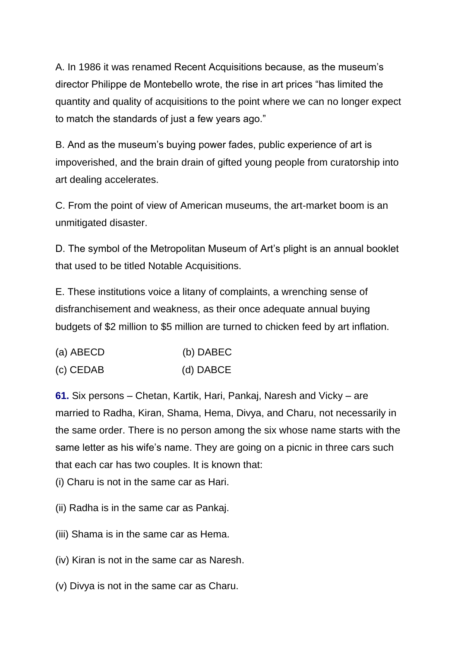A. In 1986 it was renamed Recent Acquisitions because, as the museum's director Philippe de Montebello wrote, the rise in art prices "has limited the quantity and quality of acquisitions to the point where we can no longer expect to match the standards of just a few years ago."

B. And as the museum's buying power fades, public experience of art is impoverished, and the brain drain of gifted young people from curatorship into art dealing accelerates.

C. From the point of view of American museums, the art-market boom is an unmitigated disaster.

D. The symbol of the Metropolitan Museum of Art's plight is an annual booklet that used to be titled Notable Acquisitions.

E. These institutions voice a litany of complaints, a wrenching sense of disfranchisement and weakness, as their once adequate annual buying budgets of \$2 million to \$5 million are turned to chicken feed by art inflation.

| (a) ABECD | (b) DABEC |
|-----------|-----------|
| (c) CEDAB | (d) DABCE |

**61.** Six persons – Chetan, Kartik, Hari, Pankaj, Naresh and Vicky – are married to Radha, Kiran, Shama, Hema, Divya, and Charu, not necessarily in the same order. There is no person among the six whose name starts with the same letter as his wife's name. They are going on a picnic in three cars such that each car has two couples. It is known that:

(i) Charu is not in the same car as Hari.

(ii) Radha is in the same car as Pankaj.

(iii) Shama is in the same car as Hema.

(iv) Kiran is not in the same car as Naresh.

(v) Divya is not in the same car as Charu.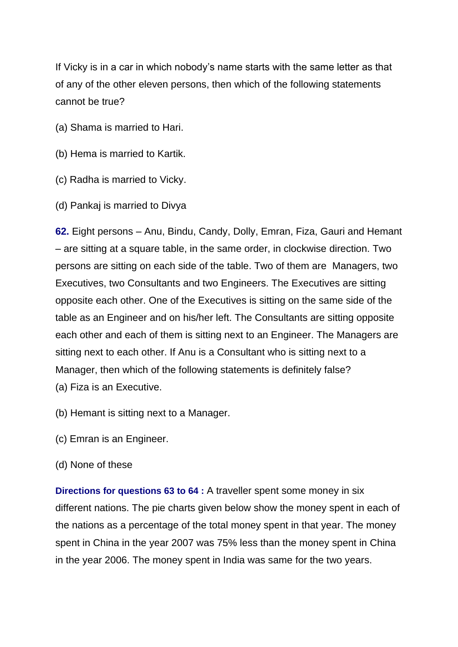If Vicky is in a car in which nobody's name starts with the same letter as that of any of the other eleven persons, then which of the following statements cannot be true?

- (a) Shama is married to Hari.
- (b) Hema is married to Kartik.
- (c) Radha is married to Vicky.
- (d) Pankaj is married to Divya

**62.** Eight persons – Anu, Bindu, Candy, Dolly, Emran, Fiza, Gauri and Hemant – are sitting at a square table, in the same order, in clockwise direction. Two persons are sitting on each side of the table. Two of them are Managers, two Executives, two Consultants and two Engineers. The Executives are sitting opposite each other. One of the Executives is sitting on the same side of the table as an Engineer and on his/her left. The Consultants are sitting opposite each other and each of them is sitting next to an Engineer. The Managers are sitting next to each other. If Anu is a Consultant who is sitting next to a Manager, then which of the following statements is definitely false? (a) Fiza is an Executive.

- (b) Hemant is sitting next to a Manager.
- (c) Emran is an Engineer.
- (d) None of these

**Directions for questions 63 to 64 :** A traveller spent some money in six different nations. The pie charts given below show the money spent in each of the nations as a percentage of the total money spent in that year. The money spent in China in the year 2007 was 75% less than the money spent in China in the year 2006. The money spent in India was same for the two years.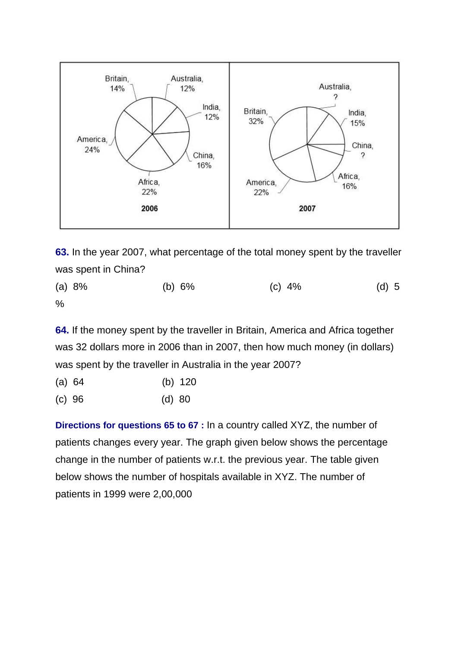

**63.** In the year 2007, what percentage of the total money spent by the traveller was spent in China?

(a) 8% (b) 6% (c) 4% (d) 5  $\%$ 

**64.** If the money spent by the traveller in Britain, America and Africa together was 32 dollars more in 2006 than in 2007, then how much money (in dollars) was spent by the traveller in Australia in the year 2007?

- (a) 64 (b) 120
- (c) 96 (d) 80

**Directions for questions 65 to 67 :** In a country called XYZ, the number of patients changes every year. The graph given below shows the percentage change in the number of patients w.r.t. the previous year. The table given below shows the number of hospitals available in XYZ. The number of patients in 1999 were 2,00,000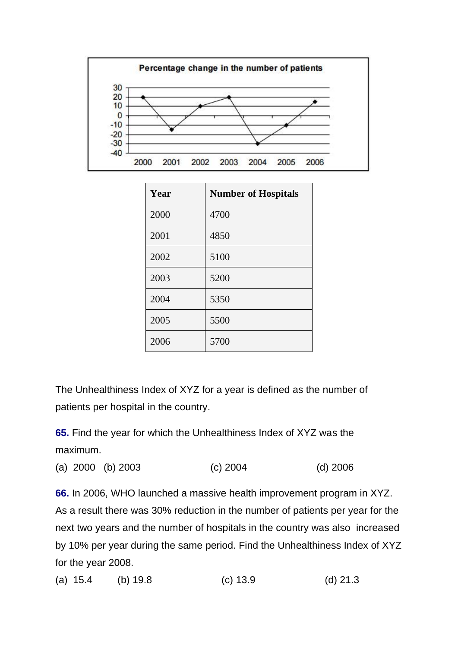

| Year | <b>Number of Hospitals</b> |
|------|----------------------------|
| 2000 | 4700                       |
| 2001 | 4850                       |
| 2002 | 5100                       |
| 2003 | 5200                       |
| 2004 | 5350                       |
| 2005 | 5500                       |
| 2006 | 5700                       |

The Unhealthiness Index of XYZ for a year is defined as the number of patients per hospital in the country.

**65.** Find the year for which the Unhealthiness Index of XYZ was the maximum.

(a) 2000 (b) 2003 (c) 2004 (d) 2006

**66.** In 2006, WHO launched a massive health improvement program in XYZ. As a result there was 30% reduction in the number of patients per year for the next two years and the number of hospitals in the country was also increased by 10% per year during the same period. Find the Unhealthiness Index of XYZ for the year 2008.

(a) 15.4 (b) 19.8 (c) 13.9 (d) 21.3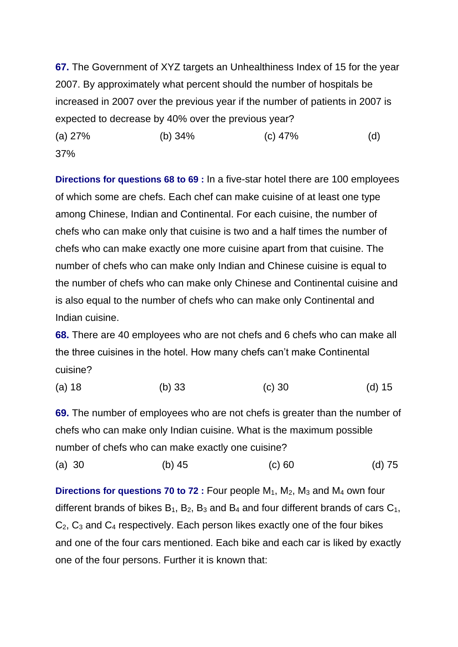**67.** The Government of XYZ targets an Unhealthiness Index of 15 for the year 2007. By approximately what percent should the number of hospitals be increased in 2007 over the previous year if the number of patients in 2007 is expected to decrease by 40% over the previous year?

(a) 27% (b) 34% (c) 47% (d) 37%

**Directions for questions 68 to 69 :** In a five-star hotel there are 100 employees of which some are chefs. Each chef can make cuisine of at least one type among Chinese, Indian and Continental. For each cuisine, the number of chefs who can make only that cuisine is two and a half times the number of chefs who can make exactly one more cuisine apart from that cuisine. The number of chefs who can make only Indian and Chinese cuisine is equal to the number of chefs who can make only Chinese and Continental cuisine and is also equal to the number of chefs who can make only Continental and Indian cuisine.

**68.** There are 40 employees who are not chefs and 6 chefs who can make all the three cuisines in the hotel. How many chefs can't make Continental cuisine?

(a) 18 (b) 33 (c) 30 (d) 15

**69.** The number of employees who are not chefs is greater than the number of chefs who can make only Indian cuisine. What is the maximum possible number of chefs who can make exactly one cuisine?

```
(a) 30 (b) 45 (c) 60 (d) 75
```
**Directions for questions 70 to 72 :** Four people M<sub>1</sub>, M<sub>2</sub>, M<sub>3</sub> and M<sub>4</sub> own four different brands of bikes  $B_1$ ,  $B_2$ ,  $B_3$  and  $B_4$  and four different brands of cars  $C_1$ ,  $C_2$ ,  $C_3$  and  $C_4$  respectively. Each person likes exactly one of the four bikes and one of the four cars mentioned. Each bike and each car is liked by exactly one of the four persons. Further it is known that: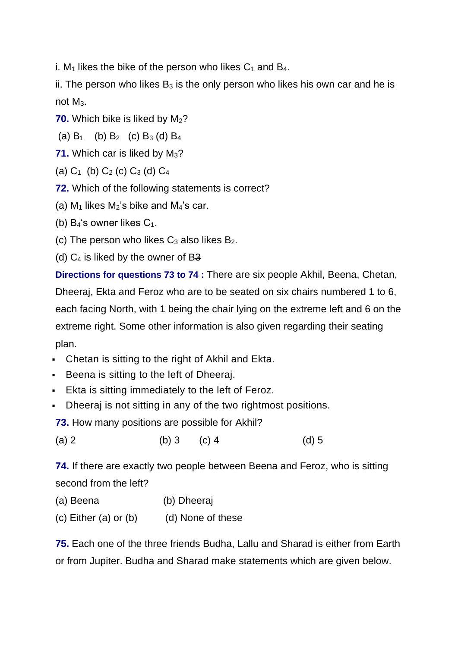i.  $M_1$  likes the bike of the person who likes  $C_1$  and  $B_4$ .

ii. The person who likes  $B_3$  is the only person who likes his own car and he is not M<sub>3</sub>.

**70.** Which bike is liked by M<sub>2</sub>?

(a)  $B_1$  (b)  $B_2$  (c)  $B_3$  (d)  $B_4$ 

- **71.** Which car is liked by M<sub>3</sub>?
- (a)  $C_1$  (b)  $C_2$  (c)  $C_3$  (d)  $C_4$
- **72.** Which of the following statements is correct?
- (a)  $M_1$  likes  $M_2$ 's bike and  $M_4$ 's car.
- (b)  $B_4$ 's owner likes  $C_1$ .
- (c) The person who likes  $C_3$  also likes  $B_2$ .
- (d)  $C_4$  is liked by the owner of B3

**Directions for questions 73 to 74 :** There are six people Akhil, Beena, Chetan, Dheeraj, Ekta and Feroz who are to be seated on six chairs numbered 1 to 6, each facing North, with 1 being the chair lying on the extreme left and 6 on the extreme right. Some other information is also given regarding their seating plan.

- Chetan is sitting to the right of Akhil and Ekta.
- **Beena is sitting to the left of Dheeraj.**
- **Exta is sitting immediately to the left of Feroz.**
- Dheeraj is not sitting in any of the two rightmost positions.

**73.** How many positions are possible for Akhil?

(a) 2 (b) 3 (c) 4 (d) 5

**74.** If there are exactly two people between Beena and Feroz, who is sitting second from the left?

- (a) Beena (b) Dheeraj
- $(c)$  Either  $(a)$  or  $(b)$  (d) None of these

**75.** Each one of the three friends Budha, Lallu and Sharad is either from Earth or from Jupiter. Budha and Sharad make statements which are given below.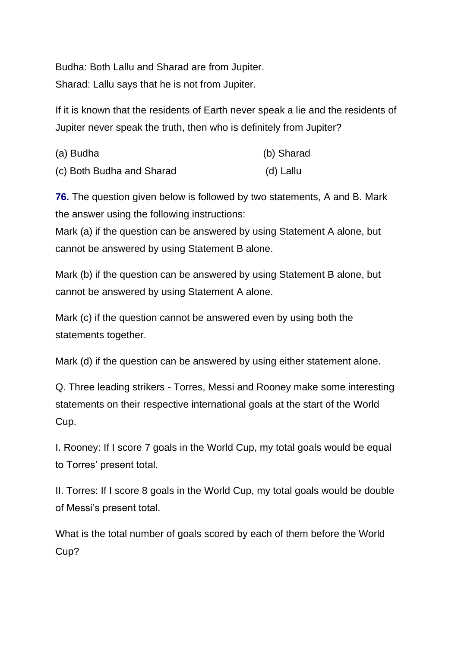Budha: Both Lallu and Sharad are from Jupiter. Sharad: Lallu says that he is not from Jupiter.

If it is known that the residents of Earth never speak a lie and the residents of Jupiter never speak the truth, then who is definitely from Jupiter?

| (a) Budha                 | (b) Sharad |
|---------------------------|------------|
| (c) Both Budha and Sharad | (d) Lallu  |

**76.** The question given below is followed by two statements, A and B. Mark the answer using the following instructions:

Mark (a) if the question can be answered by using Statement A alone, but cannot be answered by using Statement B alone.

Mark (b) if the question can be answered by using Statement B alone, but cannot be answered by using Statement A alone.

Mark (c) if the question cannot be answered even by using both the statements together.

Mark (d) if the question can be answered by using either statement alone.

Q. Three leading strikers - Torres, Messi and Rooney make some interesting statements on their respective international goals at the start of the World Cup.

I. Rooney: If I score 7 goals in the World Cup, my total goals would be equal to Torres' present total.

II. Torres: If I score 8 goals in the World Cup, my total goals would be double of Messi's present total.

What is the total number of goals scored by each of them before the World Cup?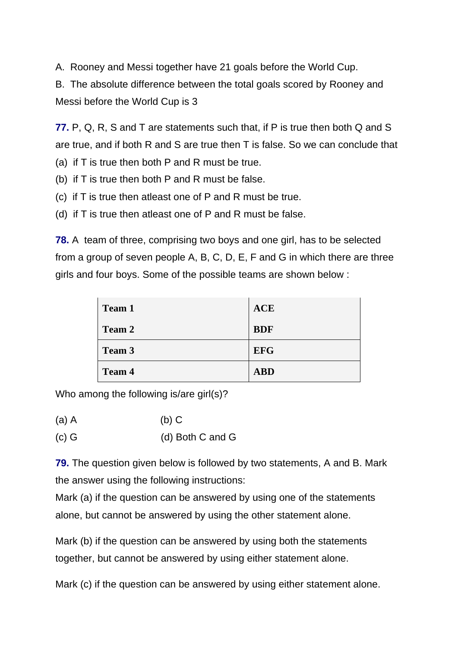A. Rooney and Messi together have 21 goals before the World Cup.

B. The absolute difference between the total goals scored by Rooney and Messi before the World Cup is 3

**77.** P, Q, R, S and T are statements such that, if P is true then both Q and S are true, and if both R and S are true then T is false. So we can conclude that

- (a) if T is true then both P and R must be true.
- (b) if T is true then both P and R must be false.
- (c) if T is true then atleast one of P and R must be true.
- (d) if T is true then atleast one of P and R must be false.

**78.** A team of three, comprising two boys and one girl, has to be selected from a group of seven people A, B, C, D, E, F and G in which there are three girls and four boys. Some of the possible teams are shown below :

| <b>Team 1</b> | <b>ACE</b> |
|---------------|------------|
| <b>Team 2</b> | <b>BDF</b> |
| <b>Team 3</b> | <b>EFG</b> |
| <b>Team 4</b> | <b>ABD</b> |

Who among the following is/are girl(s)?

(a) A (b) C

(c) G (d) Both C and G

**79.** The question given below is followed by two statements, A and B. Mark the answer using the following instructions:

Mark (a) if the question can be answered by using one of the statements alone, but cannot be answered by using the other statement alone.

Mark (b) if the question can be answered by using both the statements together, but cannot be answered by using either statement alone.

Mark (c) if the question can be answered by using either statement alone.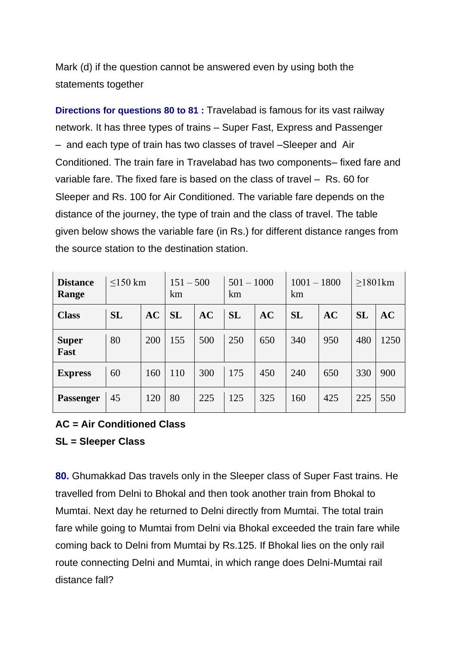Mark (d) if the question cannot be answered even by using both the statements together

**Directions for questions 80 to 81 :** Travelabad is famous for its vast railway network. It has three types of trains – Super Fast, Express and Passenger – and each type of train has two classes of travel –Sleeper and Air Conditioned. The train fare in Travelabad has two components– fixed fare and variable fare. The fixed fare is based on the class of travel – Rs. 60 for Sleeper and Rs. 100 for Air Conditioned. The variable fare depends on the distance of the journey, the type of train and the class of travel. The table given below shows the variable fare (in Rs.) for different distance ranges from the source station to the destination station.

| <b>Distance</b><br>Range | $<$ 150 km |     | $151 - 500$<br>km |     | $501 - 1000$<br>km |     | $1001 - 1800$<br>km |     | $\geq$ 1801km |      |
|--------------------------|------------|-----|-------------------|-----|--------------------|-----|---------------------|-----|---------------|------|
| <b>Class</b>             | <b>SL</b>  | AC  | <b>SL</b>         | AC  | <b>SL</b>          | AC  | <b>SL</b>           | AC  | <b>SL</b>     | AC   |
| <b>Super</b><br>Fast     | 80         | 200 | 155               | 500 | 250                | 650 | 340                 | 950 | 480           | 1250 |
| <b>Express</b>           | 60         | 160 | 110               | 300 | 175                | 450 | 240                 | 650 | 330           | 900  |
| <b>Passenger</b>         | 45         | 120 | 80                | 225 | 125                | 325 | 160                 | 425 | 225           | 550  |

## **AC = Air Conditioned Class SL = Sleeper Class**

**80.** Ghumakkad Das travels only in the Sleeper class of Super Fast trains. He travelled from Delni to Bhokal and then took another train from Bhokal to Mumtai. Next day he returned to Delni directly from Mumtai. The total train fare while going to Mumtai from Delni via Bhokal exceeded the train fare while coming back to Delni from Mumtai by Rs.125. If Bhokal lies on the only rail route connecting Delni and Mumtai, in which range does Delni-Mumtai rail distance fall?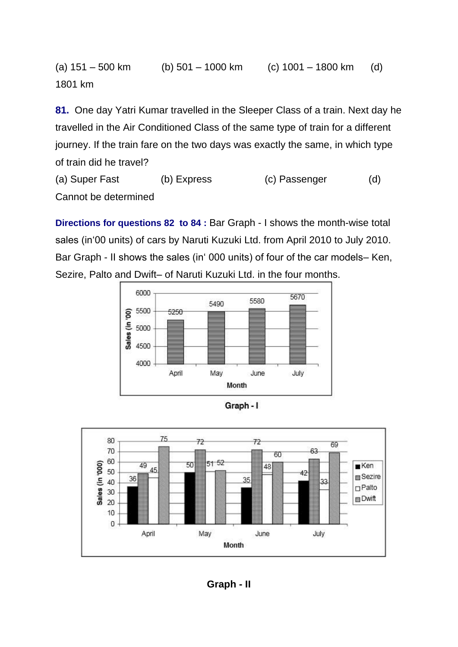(a)  $151 - 500$  km (b)  $501 - 1000$  km (c)  $1001 - 1800$  km (d) 1801 km

**81.** One day Yatri Kumar travelled in the Sleeper Class of a train. Next day he travelled in the Air Conditioned Class of the same type of train for a different journey. If the train fare on the two days was exactly the same, in which type of train did he travel?

(a) Super Fast (b) Express (c) Passenger (d) Cannot be determined

**Directions for questions 82 to 84 :** Bar Graph - I shows the month-wise total sales (in'00 units) of cars by Naruti Kuzuki Ltd. from April 2010 to July 2010. Bar Graph - II shows the sales (in' 000 units) of four of the car models– Ken, Sezire, Palto and Dwift– of Naruti Kuzuki Ltd. in the four months.





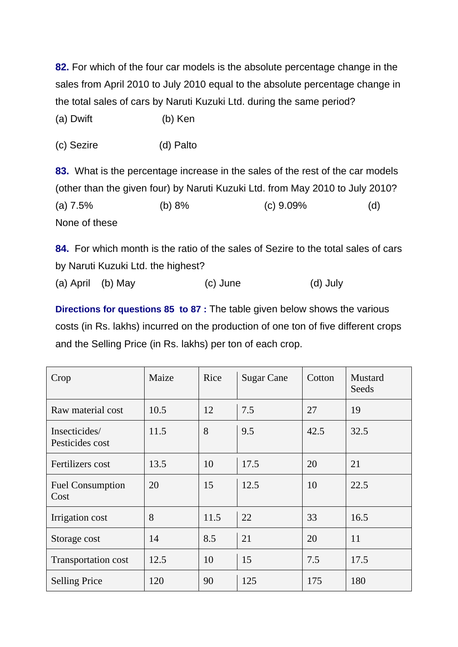**82.** For which of the four car models is the absolute percentage change in the sales from April 2010 to July 2010 equal to the absolute percentage change in the total sales of cars by Naruti Kuzuki Ltd. during the same period?

(a) Dwift (b) Ken

(c) Sezire (d) Palto

**83.** What is the percentage increase in the sales of the rest of the car models (other than the given four) by Naruti Kuzuki Ltd. from May 2010 to July 2010?

(a) 7.5% (b) 8% (c) 9.09% (d) None of these

**84.** For which month is the ratio of the sales of Sezire to the total sales of cars by Naruti Kuzuki Ltd. the highest?

(a) April (b) May (c) June (d) July

**Directions for questions 85 to 87 :** The table given below shows the various costs (in Rs. lakhs) incurred on the production of one ton of five different crops and the Selling Price (in Rs. lakhs) per ton of each crop.

| Crop                             | Maize | Rice | <b>Sugar Cane</b> | Cotton | <b>Mustard</b><br>Seeds |
|----------------------------------|-------|------|-------------------|--------|-------------------------|
| Raw material cost                | 10.5  | 12   | 7.5               | 27     | 19                      |
| Insecticides/<br>Pesticides cost | 11.5  | 8    | 9.5               | 42.5   | 32.5                    |
| Fertilizers cost                 | 13.5  | 10   | 17.5              | 20     | 21                      |
| <b>Fuel Consumption</b><br>Cost  | 20    | 15   | 12.5              | 10     | 22.5                    |
| Irrigation cost                  | 8     | 11.5 | 22                | 33     | 16.5                    |
| Storage cost                     | 14    | 8.5  | 21                | 20     | 11                      |
| <b>Transportation cost</b>       | 12.5  | 10   | 15                | 7.5    | 17.5                    |
| <b>Selling Price</b>             | 120   | 90   | 125               | 175    | 180                     |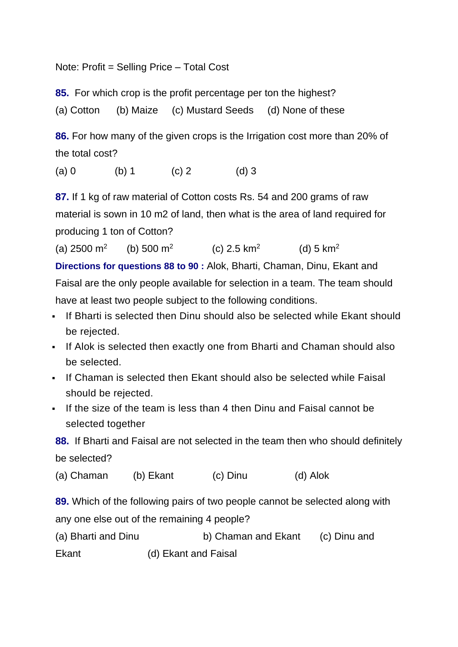Note: Profit = Selling Price – Total Cost

**85.** For which crop is the profit percentage per ton the highest?

(a) Cotton (b) Maize (c) Mustard Seeds (d) None of these

**86.** For how many of the given crops is the Irrigation cost more than 20% of the total cost?

(a) 0 (b) 1 (c) 2 (d) 3

**87.** If 1 kg of raw material of Cotton costs Rs. 54 and 200 grams of raw material is sown in 10 m2 of land, then what is the area of land required for producing 1 ton of Cotton?

(a)  $2500 \text{ m}^2$ (b)  $500 \text{ m}^2$ (c)  $2.5 \text{ km}^2$ (d)  $5 \text{ km}^2$ **Directions for questions 88 to 90 :** Alok, Bharti, Chaman, Dinu, Ekant and

Faisal are the only people available for selection in a team. The team should have at least two people subject to the following conditions.

- **If Bharti is selected then Dinu should also be selected while Ekant should** be rejected.
- If Alok is selected then exactly one from Bharti and Chaman should also be selected.
- If Chaman is selected then Ekant should also be selected while Faisal should be rejected.
- If the size of the team is less than 4 then Dinu and Faisal cannot be selected together

**88.** If Bharti and Faisal are not selected in the team then who should definitely be selected?

(a) Chaman (b) Ekant (c) Dinu (d) Alok

**89.** Which of the following pairs of two people cannot be selected along with any one else out of the remaining 4 people?

| (a) Bharti and Dinu | b) Chaman and Ekant | (c) Dinu and |
|---------------------|---------------------|--------------|
|---------------------|---------------------|--------------|

Ekant (d) Ekant and Faisal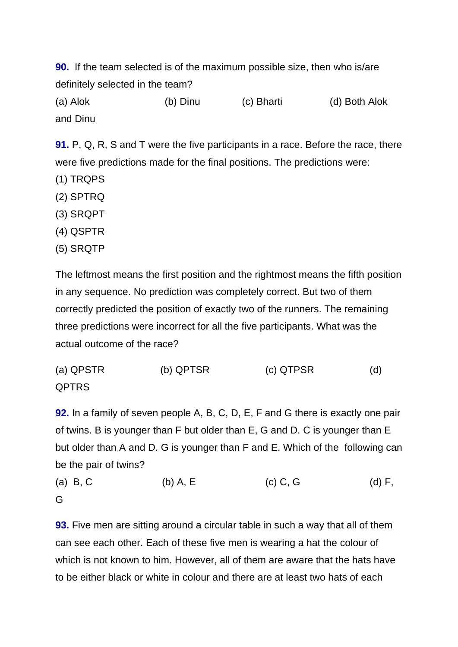**90.** If the team selected is of the maximum possible size, then who is/are definitely selected in the team?

(a) Alok (b) Dinu (c) Bharti (d) Both Alok and Dinu

**91.** P, Q, R, S and T were the five participants in a race. Before the race, there were five predictions made for the final positions. The predictions were:

- (1) TRQPS
- (2) SPTRQ
- (3) SRQPT
- (4) QSPTR
- (5) SRQTP

The leftmost means the first position and the rightmost means the fifth position in any sequence. No prediction was completely correct. But two of them correctly predicted the position of exactly two of the runners. The remaining three predictions were incorrect for all the five participants. What was the actual outcome of the race?

(a) QPSTR (b) QPTSR (c) QTPSR (d) QPTRS

**92.** In a family of seven people A, B, C, D, E, F and G there is exactly one pair of twins. B is younger than F but older than E, G and D. C is younger than E but older than A and D. G is younger than F and E. Which of the following can be the pair of twins?

(a) B, C (b) A, E (c) C, G (d) F, G

**93.** Five men are sitting around a circular table in such a way that all of them can see each other. Each of these five men is wearing a hat the colour of which is not known to him. However, all of them are aware that the hats have to be either black or white in colour and there are at least two hats of each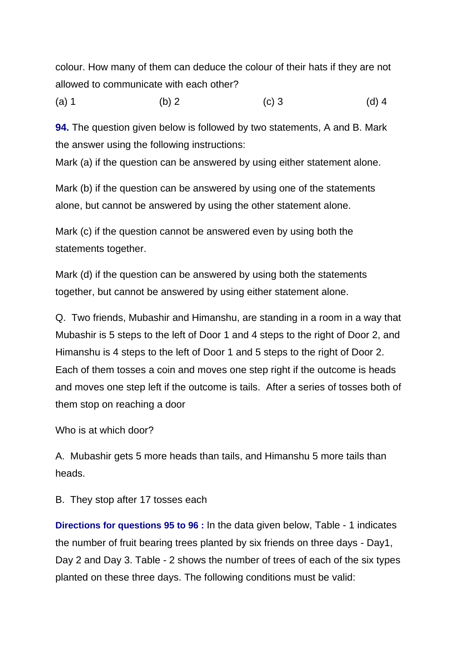colour. How many of them can deduce the colour of their hats if they are not allowed to communicate with each other?

(a) 1 (b) 2 (c) 3 (d) 4

**94.** The question given below is followed by two statements, A and B. Mark the answer using the following instructions:

Mark (a) if the question can be answered by using either statement alone.

Mark (b) if the question can be answered by using one of the statements alone, but cannot be answered by using the other statement alone.

Mark (c) if the question cannot be answered even by using both the statements together.

Mark (d) if the question can be answered by using both the statements together, but cannot be answered by using either statement alone.

Q. Two friends, Mubashir and Himanshu, are standing in a room in a way that Mubashir is 5 steps to the left of Door 1 and 4 steps to the right of Door 2, and Himanshu is 4 steps to the left of Door 1 and 5 steps to the right of Door 2. Each of them tosses a coin and moves one step right if the outcome is heads and moves one step left if the outcome is tails. After a series of tosses both of them stop on reaching a door

Who is at which door?

A. Mubashir gets 5 more heads than tails, and Himanshu 5 more tails than heads.

B. They stop after 17 tosses each

**Directions for questions 95 to 96 :** In the data given below, Table - 1 indicates the number of fruit bearing trees planted by six friends on three days - Day1, Day 2 and Day 3. Table - 2 shows the number of trees of each of the six types planted on these three days. The following conditions must be valid: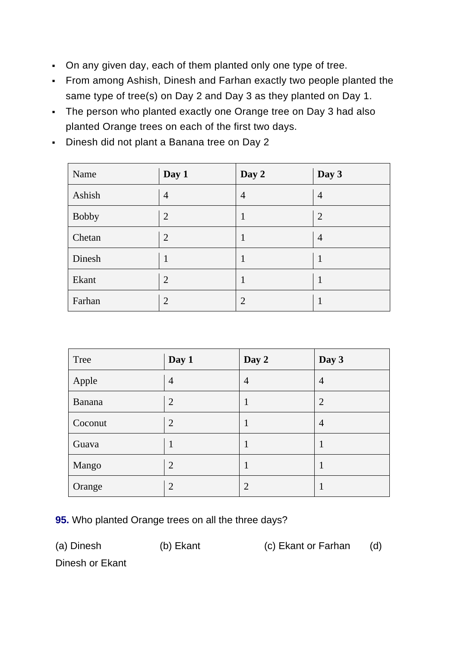- On any given day, each of them planted only one type of tree.
- From among Ashish, Dinesh and Farhan exactly two people planted the same type of tree(s) on Day 2 and Day 3 as they planted on Day 1.
- The person who planted exactly one Orange tree on Day 3 had also planted Orange trees on each of the first two days.
- Dinesh did not plant a Banana tree on Day 2

| Name         | Day 1          | Day 2          | Day 3          |
|--------------|----------------|----------------|----------------|
| Ashish       | $\overline{4}$ | $\overline{4}$ | 4              |
| <b>Bobby</b> | $\overline{2}$ | 1              | $\overline{2}$ |
| Chetan       | $\overline{2}$ | 1              | $\overline{4}$ |
| Dinesh       |                | -1             |                |
| Ekant        | $\overline{2}$ | 1              | 1              |
| Farhan       | $\overline{2}$ | $\overline{2}$ |                |

| Tree    | Day 1          | Day 2          | Day 3          |
|---------|----------------|----------------|----------------|
| Apple   | $\overline{4}$ | $\overline{4}$ | $\overline{4}$ |
| Banana  | $\overline{2}$ |                | $\overline{2}$ |
| Coconut | $\overline{2}$ |                | $\overline{4}$ |
| Guava   | 1              |                |                |
| Mango   | $\overline{2}$ |                |                |
| Orange  | 2              | $\overline{2}$ |                |

**95.** Who planted Orange trees on all the three days?

(a) Dinesh (b) Ekant (c) Ekant or Farhan (d)

Dinesh or Ekant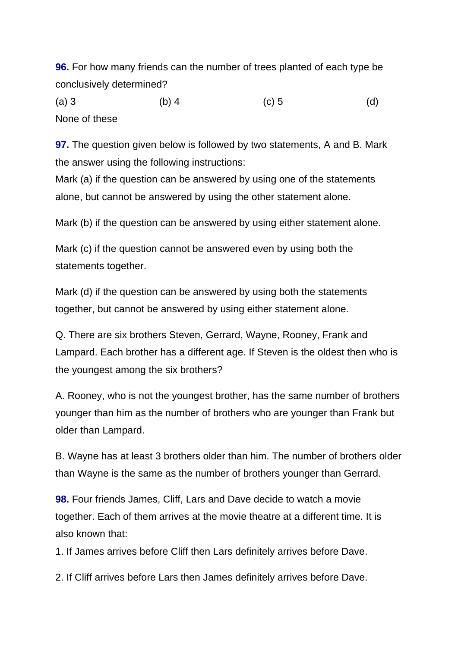**96.** For how many friends can the number of trees planted of each type be conclusively determined?

(a) 3 (b) 4 (c) 5 (d) None of these

**97.** The question given below is followed by two statements, A and B. Mark the answer using the following instructions:

Mark (a) if the question can be answered by using one of the statements alone, but cannot be answered by using the other statement alone.

Mark (b) if the question can be answered by using either statement alone.

Mark (c) if the question cannot be answered even by using both the statements together.

Mark (d) if the question can be answered by using both the statements together, but cannot be answered by using either statement alone.

Q. There are six brothers Steven, Gerrard, Wayne, Rooney, Frank and Lampard. Each brother has a different age. If Steven is the oldest then who is the youngest among the six brothers?

A. Rooney, who is not the youngest brother, has the same number of brothers younger than him as the number of brothers who are younger than Frank but older than Lampard.

B. Wayne has at least 3 brothers older than him. The number of brothers older than Wayne is the same as the number of brothers younger than Gerrard.

**98.** Four friends James, Cliff, Lars and Dave decide to watch a movie together. Each of them arrives at the movie theatre at a different time. It is also known that:

1. If James arrives before Cliff then Lars definitely arrives before Dave.

2. If Cliff arrives before Lars then James definitely arrives before Dave.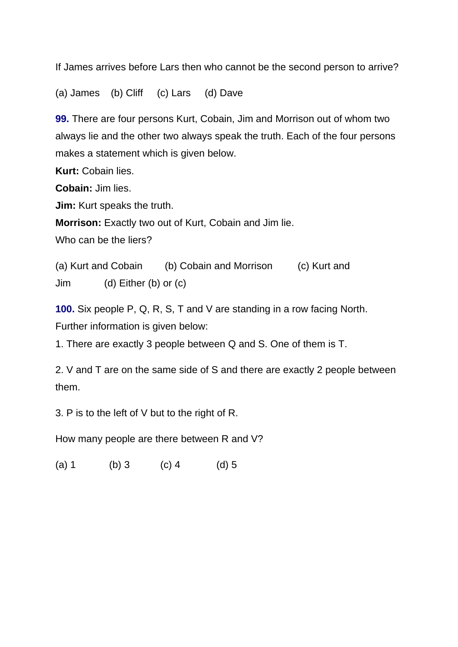If James arrives before Lars then who cannot be the second person to arrive?

(a) James (b) Cliff (c) Lars (d) Dave

**99.** There are four persons Kurt, Cobain, Jim and Morrison out of whom two always lie and the other two always speak the truth. Each of the four persons makes a statement which is given below.

**Kurt:** Cobain lies.

**Cobain:** Jim lies.

**Jim:** Kurt speaks the truth.

**Morrison:** Exactly two out of Kurt, Cobain and Jim lie.

Who can be the liers?

(a) Kurt and Cobain (b) Cobain and Morrison (c) Kurt and Jim (d) Either (b) or (c)

**100.** Six people P, Q, R, S, T and V are standing in a row facing North. Further information is given below:

1. There are exactly 3 people between Q and S. One of them is T.

2. V and T are on the same side of S and there are exactly 2 people between them.

3. P is to the left of V but to the right of R.

How many people are there between R and V?

(a)  $1$  (b)  $3$  (c)  $4$  (d)  $5$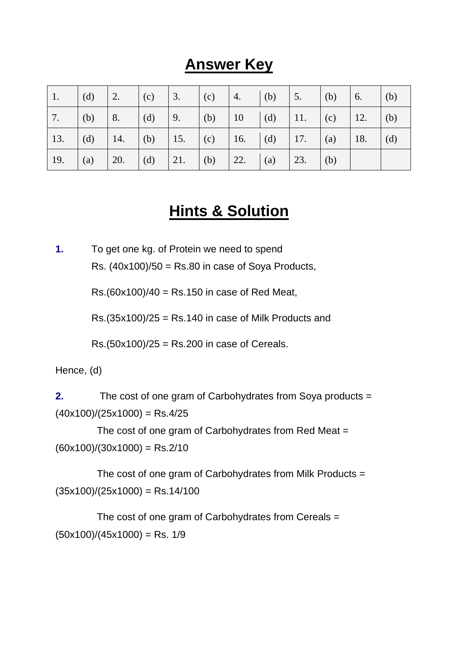# **Answer Key**

| 1.                                                                    | $\left  \right $ (d) | 2.   (c)   3.   (c)   4.   (b)   5.   (b)              |  |  |  | $\begin{pmatrix} 6. \\ \end{pmatrix}$ (b) |  |
|-----------------------------------------------------------------------|----------------------|--------------------------------------------------------|--|--|--|-------------------------------------------|--|
| $7.$ (b)                                                              |                      | 8.   (d)   9.   (b)   10   (d)   11.   (c)   12.   (b) |  |  |  |                                           |  |
| 13.   (d)   14.   (b)   15.   (c)   16.   (d)   17.   (a)   18.   (d) |                      |                                                        |  |  |  |                                           |  |
| $\vert$ 19.                                                           | (a)                  | 20.   (d)   21.   (b)   22.   (a)   23.   (b)          |  |  |  |                                           |  |

# **Hints & Solution**

**1.** To get one kg. of Protein we need to spend Rs.  $(40x100)/50 =$  Rs.80 in case of Soya Products,

Rs.(60x100)/40 = Rs.150 in case of Red Meat,

 $Rs.(35x100)/25 = Rs.140$  in case of Milk Products and

 $Rs.(50x100)/25 = Rs.200$  in case of Cereals.

Hence, (d)

**2.** The cost of one gram of Carbohydrates from Soya products =  $(40x100)/(25x1000)$  = Rs.4/25

 The cost of one gram of Carbohydrates from Red Meat =  $(60x100)/(30x1000) =$ Rs.2/10

 The cost of one gram of Carbohydrates from Milk Products =  $(35x100)/(25x1000) =$ Rs.14/100

 The cost of one gram of Carbohydrates from Cereals =  $(50x100)/(45x1000)$  = Rs. 1/9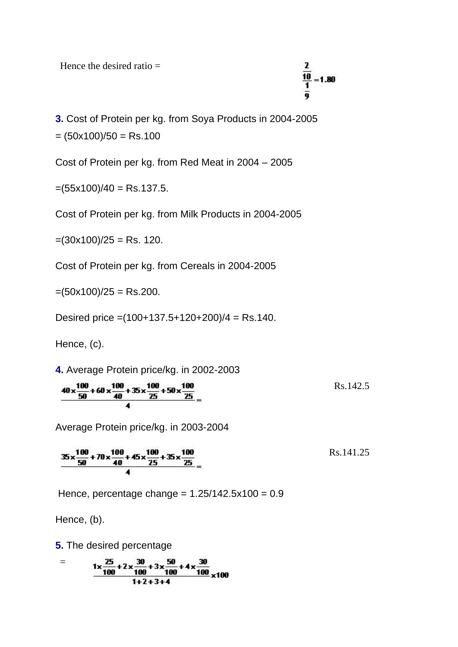Hence the desired ratio  $=$ 

 $\mathbf{z}$  $\overline{10}$  $= 1.80$ ō

**3.** Cost of Protein per kg. from Soya Products in 2004-2005  $=(50x100)/50 =$ Rs.100

Cost of Protein per kg. from Red Meat in 2004 – 2005

 $=(55x100)/40 =$ Rs.137.5.

Cost of Protein per kg. from Milk Products in 2004-2005

 $=(30x100)/25 =$ Rs. 120.

Cost of Protein per kg. from Cereals in 2004-2005

 $=(50x100)/25 =$ Rs.200.

Desired price  $=(100+137.5+120+200)/4 =$ Rs.140.

Hence, (c).

**4.** Average Protein price/kg. in 2002-2003

$$
\frac{40 \times \frac{100}{50} + 60 \times \frac{100}{40} + 35 \times \frac{100}{25} + 50 \times \frac{100}{25}}{4} =
$$
 Rs. 142.5

Average Protein price/kg. in 2003-2004

$$
\frac{35 \times \frac{100}{50} + 70 \times \frac{100}{40} + 45 \times \frac{100}{25} + 35 \times \frac{100}{25}}{4} =
$$
 Rs.141.25

Hence, percentage change =  $1.25/142.5x100 = 0.9$ 

Hence, (b).

**5.** The desired percentage

$$
= \frac{1 \times \frac{25}{100} + 2 \times \frac{30}{100} + 3 \times \frac{50}{100} + 4 \times \frac{30}{100}}{1 + 2 + 3 + 4} \times 100
$$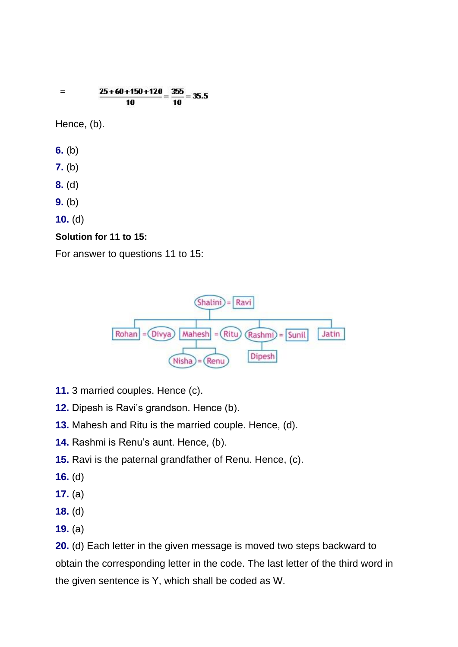$$
= \frac{25+60+150+120}{10} = \frac{355}{10} = 35.5
$$

Hence, (b).

- **6.** (b)
- **7.** (b)
- **8.** (d)
- **9.** (b)
- **10.** (d)

#### **Solution for 11 to 15:**

For answer to questions 11 to 15:



- **11.** 3 married couples. Hence (c).
- **12.** Dipesh is Ravi's grandson. Hence (b).
- **13.** Mahesh and Ritu is the married couple. Hence, (d).
- **14.** Rashmi is Renu's aunt. Hence, (b).
- **15.** Ravi is the paternal grandfather of Renu. Hence, (c).
- **16.** (d)
- **17.** (a)
- **18.** (d)
- **19.** (a)

**20.** (d) Each letter in the given message is moved two steps backward to obtain the corresponding letter in the code. The last letter of the third word in the given sentence is Y, which shall be coded as W.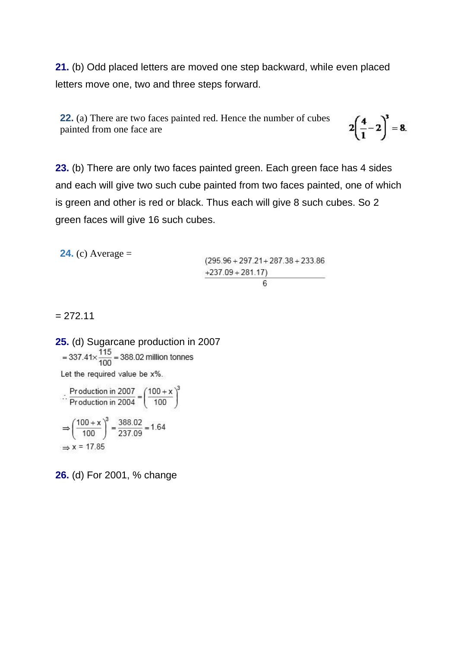**21.** (b) Odd placed letters are moved one step backward, while even placed letters move one, two and three steps forward.

**22.** (a) There are two faces painted red. Hence the number of cubes painted from one face are

 $2\left(\frac{4}{1}-2\right)^3 = 8.$ 

**23.** (b) There are only two faces painted green. Each green face has 4 sides and each will give two such cube painted from two faces painted, one of which is green and other is red or black. Thus each will give 8 such cubes. So 2 green faces will give 16 such cubes.

**24.** (c) Average =  $(295.96 + 297.21 + 287.38 + 233.86$  $+237.09 + 281.17$ 6

 $= 272.11$ 

**25.** (d) Sugarcane production in 2007<br>=  $337.41 \times \frac{115}{100}$  = 388.02 million tonnes Let the required value be x%.

$$
\therefore \frac{\text{Production in } 2007}{\text{Production in } 2004} = \left(\frac{100 + x}{100}\right)^3
$$

$$
\Rightarrow \left(\frac{100 + x}{100}\right)^3 = \frac{388.02}{237.09} = 1.64
$$

$$
\Rightarrow x = 17.85
$$

**26.** (d) For 2001, % change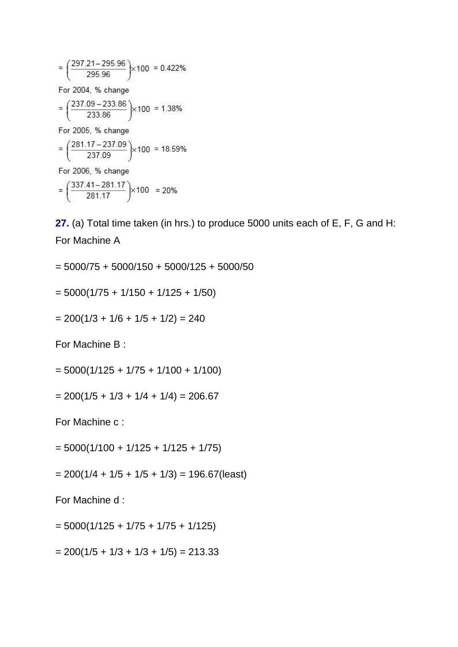$=\left(\frac{297.21-295.96}{295.96}\right) \times 100 = 0.422\%$ For 2004, % change  $=\left(\frac{237.09-233.86}{233.86}\right) \times 100 = 1.38\%$ For 2005, % change  $=\left(\frac{281.17-237.09}{237.09}\right) \times 100 = 18.59\%$ For 2006, % change  $= \left(\frac{337.41 - 281.17}{281.17}\right) \times 100 = 20\%$ 

**27.** (a) Total time taken (in hrs.) to produce 5000 units each of E, F, G and H: For Machine A

 $= 5000/75 + 5000/150 + 5000/125 + 5000/50$ 

$$
= 5000(1/75 + 1/150 + 1/125 + 1/50)
$$

$$
= 200(1/3 + 1/6 + 1/5 + 1/2) = 240
$$

For Machine B :

 $= 5000(1/125 + 1/75 + 1/100 + 1/100)$ 

 $= 200(1/5 + 1/3 + 1/4 + 1/4) = 206.67$ 

For Machine c :

 $= 5000(1/100 + 1/125 + 1/125 + 1/75)$ 

 $= 200(1/4 + 1/5 + 1/5 + 1/3) = 196.67$ (least)

For Machine d :

$$
= 5000(1/125 + 1/75 + 1/75 + 1/125)
$$

 $= 200(1/5 + 1/3 + 1/3 + 1/5) = 213.33$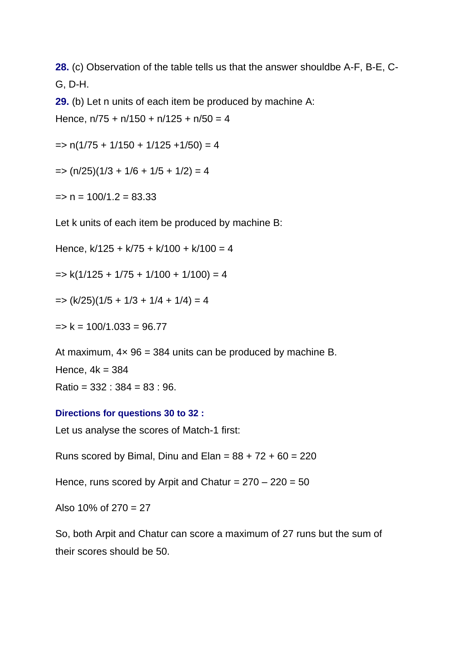**28.** (c) Observation of the table tells us that the answer shouldbe A-F, B-E, C-G, D-H.

**29.** (b) Let n units of each item be produced by machine A:

Hence,  $n/75 + n/150 + n/125 + n/50 = 4$ 

 $=$  n(1/75 + 1/150 + 1/125 +1/50) = 4

 $=$   $(n/25)(1/3 + 1/6 + 1/5 + 1/2) = 4$ 

 $\Rightarrow$  n = 100/1.2 = 83.33

Let k units of each item be produced by machine B:

Hence,  $k/125 + k/75 + k/100 + k/100 = 4$ 

 $\Rightarrow$  k(1/125 + 1/75 + 1/100 + 1/100) = 4

$$
\Rightarrow (k/25)(1/5 + 1/3 + 1/4 + 1/4) = 4
$$

 $\Rightarrow$  k = 100/1.033 = 96.77

At maximum,  $4 \times 96 = 384$  units can be produced by machine B. Hence,  $4k = 384$  $Ratio = 332 : 384 = 83 : 96.$ 

#### **Directions for questions 30 to 32 :**

Let us analyse the scores of Match-1 first:

Runs scored by Bimal, Dinu and Elan =  $88 + 72 + 60 = 220$ 

Hence, runs scored by Arpit and Chatur =  $270 - 220 = 50$ 

Also  $10\%$  of  $270 = 27$ 

So, both Arpit and Chatur can score a maximum of 27 runs but the sum of their scores should be 50.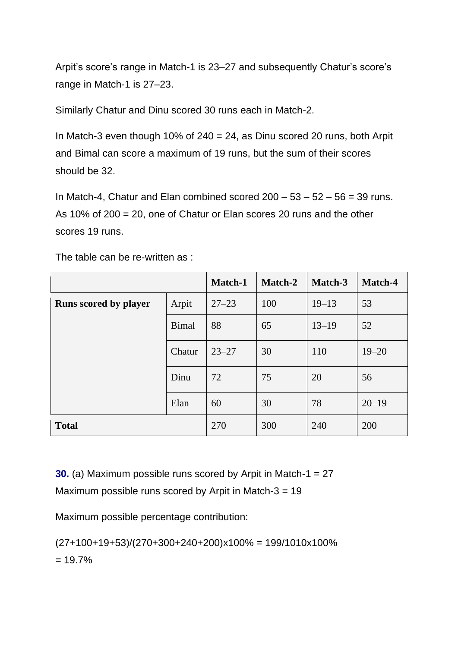Arpit's score's range in Match-1 is 23–27 and subsequently Chatur's score's range in Match-1 is 27–23.

Similarly Chatur and Dinu scored 30 runs each in Match-2.

In Match-3 even though 10% of  $240 = 24$ , as Dinu scored 20 runs, both Arpit and Bimal can score a maximum of 19 runs, but the sum of their scores should be 32.

In Match-4, Chatur and Elan combined scored  $200 - 53 - 52 - 56 = 39$  runs. As 10% of 200 = 20, one of Chatur or Elan scores 20 runs and the other scores 19 runs.

The table can be re-written as :

|                              |              | Match-1   | Match-2 | Match-3   | Match-4   |
|------------------------------|--------------|-----------|---------|-----------|-----------|
| <b>Runs scored by player</b> | Arpit        | $27 - 23$ | 100     | $19 - 13$ | 53        |
|                              | <b>Bimal</b> | 88        | 65      | $13 - 19$ | 52        |
|                              | Chatur       | $23 - 27$ | 30      | 110       | $19 - 20$ |
|                              | Dinu         | 72        | 75      | 20        | 56        |
|                              | Elan         | 60        | 30      | 78        | $20 - 19$ |
| <b>Total</b>                 |              | 270       | 300     | 240       | 200       |

**30.** (a) Maximum possible runs scored by Arpit in Match-1 = 27 Maximum possible runs scored by Arpit in Match-3 = 19

Maximum possible percentage contribution:

 $(27+100+19+53)/(270+300+240+200)x100% = 199/1010x100%$  $= 19.7\%$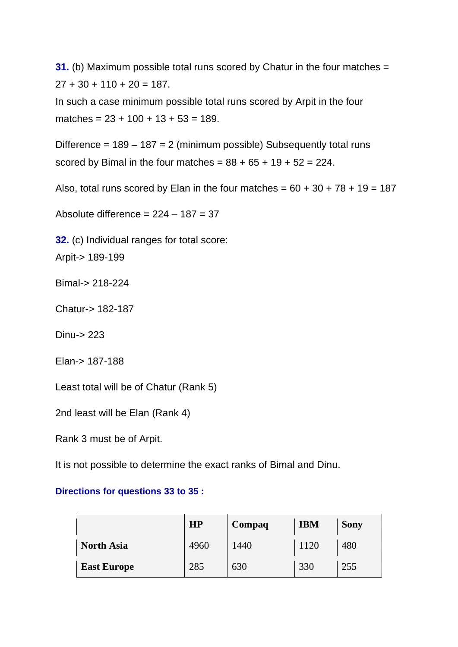**31.** (b) Maximum possible total runs scored by Chatur in the four matches =  $27 + 30 + 110 + 20 = 187$ .

In such a case minimum possible total runs scored by Arpit in the four matches =  $23 + 100 + 13 + 53 = 189$ .

Difference =  $189 - 187 = 2$  (minimum possible) Subsequently total runs scored by Bimal in the four matches =  $88 + 65 + 19 + 52 = 224$ .

Also, total runs scored by Elan in the four matches =  $60 + 30 + 78 + 19 = 187$ 

Absolute difference =  $224 - 187 = 37$ 

**32.** (c) Individual ranges for total score:

Arpit-> 189-199

Bimal-> 218-224

Chatur-> 182-187

Dinu-> 223

Elan-> 187-188

Least total will be of Chatur (Rank 5)

2nd least will be Elan (Rank 4)

Rank 3 must be of Arpit.

It is not possible to determine the exact ranks of Bimal and Dinu.

#### **Directions for questions 33 to 35 :**

|                    | <b>HP</b> | Compaq | <b>IBM</b> | <b>Sony</b> |
|--------------------|-----------|--------|------------|-------------|
| <b>North Asia</b>  | 4960      | 1440   | 1120       | 480         |
| <b>East Europe</b> | 285       | 630    | 330        | 255         |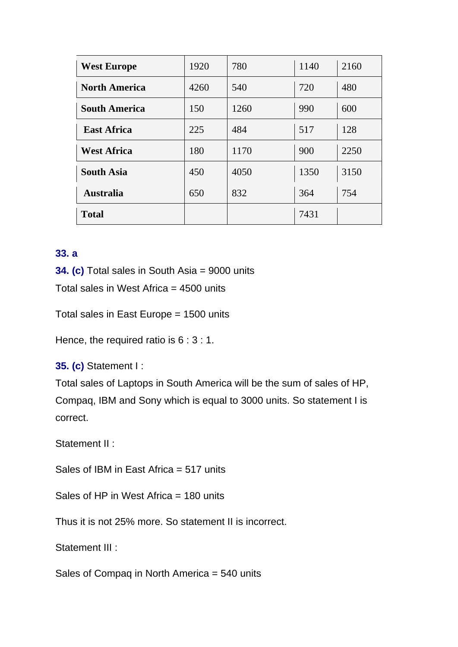| <b>West Europe</b>   | 1920 | 780  | 1140 | 2160 |
|----------------------|------|------|------|------|
| <b>North America</b> | 4260 | 540  | 720  | 480  |
| <b>South America</b> | 150  | 1260 | 990  | 600  |
| <b>East Africa</b>   | 225  | 484  | 517  | 128  |
| <b>West Africa</b>   | 180  | 1170 | 900  | 2250 |
| <b>South Asia</b>    | 450  | 4050 | 1350 | 3150 |
| <b>Australia</b>     | 650  | 832  | 364  | 754  |
| <b>Total</b>         |      |      | 7431 |      |

## **33. a**

**34. (c)** Total sales in South Asia = 9000 units

Total sales in West Africa = 4500 units

Total sales in East Europe = 1500 units

Hence, the required ratio is 6 : 3 : 1.

**35. (c)** Statement I :

Total sales of Laptops in South America will be the sum of sales of HP, Compaq, IBM and Sony which is equal to 3000 units. So statement I is correct.

Statement II :

Sales of IBM in East Africa = 517 units

Sales of HP in West Africa = 180 units

Thus it is not 25% more. So statement II is incorrect.

Statement III :

Sales of Compaq in North America = 540 units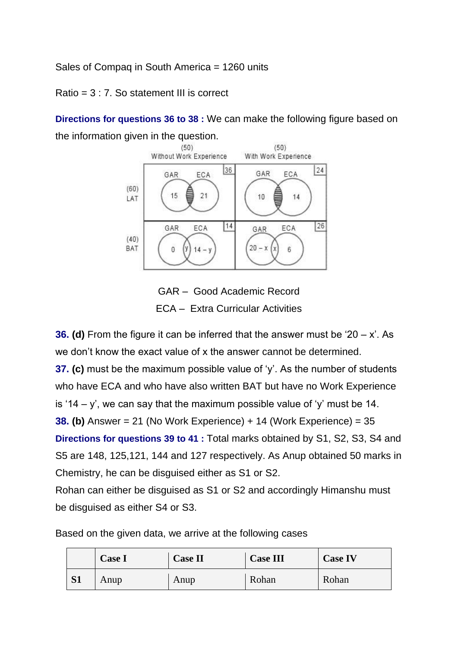Sales of Compaq in South America = 1260 units

Ratio =  $3 \cdot 7$ . So statement III is correct.

**Directions for questions 36 to 38 :** We can make the following figure based on the information given in the question.



GAR – Good Academic Record ECA – Extra Curricular Activities

**36. (d)** From the figure it can be inferred that the answer must be '20 – x'. As we don't know the exact value of x the answer cannot be determined. **37. (c)** must be the maximum possible value of 'y'. As the number of students who have ECA and who have also written BAT but have no Work Experience is '14 – y', we can say that the maximum possible value of 'y' must be 14. **38. (b)** Answer = 21 (No Work Experience) + 14 (Work Experience) = 35 **Directions for questions 39 to 41 :** Total marks obtained by S1, S2, S3, S4 and S5 are 148, 125,121, 144 and 127 respectively. As Anup obtained 50 marks in Chemistry, he can be disguised either as S1 or S2. Rohan can either be disguised as S1 or S2 and accordingly Himanshu must

be disguised as either S4 or S3.

|           | <b>Case I</b> | <b>Case II</b> | <b>Case III</b> | <b>Case IV</b> |
|-----------|---------------|----------------|-----------------|----------------|
| <b>S1</b> | Anup          | Anup           | Rohan           | Rohan          |

Based on the given data, we arrive at the following cases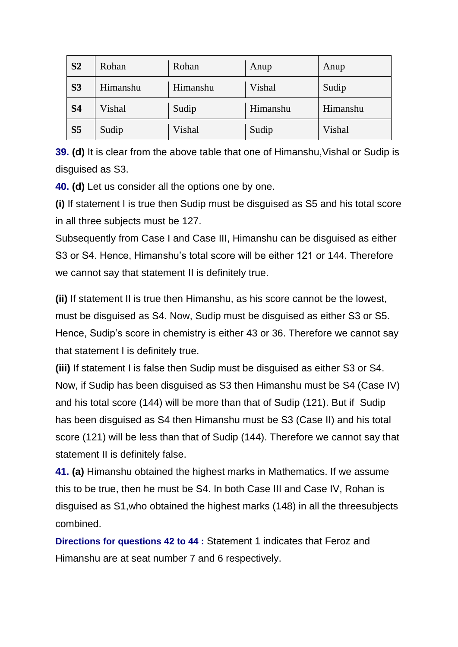| S <sub>2</sub> | Rohan    | Rohan    | Anup     | Anup     |
|----------------|----------|----------|----------|----------|
| S <sub>3</sub> | Himanshu | Himanshu | Vishal   | Sudip    |
| S <sub>4</sub> | Vishal   | Sudip    | Himanshu | Himanshu |
| S <sub>5</sub> | Sudip    | Vishal   | Sudip    | Vishal   |

**39. (d)** It is clear from the above table that one of Himanshu,Vishal or Sudip is disguised as S3.

**40. (d)** Let us consider all the options one by one.

**(i)** If statement I is true then Sudip must be disguised as S5 and his total score in all three subjects must be 127.

Subsequently from Case I and Case III, Himanshu can be disguised as either S3 or S4. Hence, Himanshu's total score will be either 121 or 144. Therefore we cannot say that statement II is definitely true.

**(ii)** If statement II is true then Himanshu, as his score cannot be the lowest, must be disguised as S4. Now, Sudip must be disguised as either S3 or S5. Hence, Sudip's score in chemistry is either 43 or 36. Therefore we cannot say that statement I is definitely true.

**(iii)** If statement I is false then Sudip must be disguised as either S3 or S4. Now, if Sudip has been disguised as S3 then Himanshu must be S4 (Case IV) and his total score (144) will be more than that of Sudip (121). But if Sudip has been disguised as S4 then Himanshu must be S3 (Case II) and his total score (121) will be less than that of Sudip (144). Therefore we cannot say that statement II is definitely false.

**41. (a)** Himanshu obtained the highest marks in Mathematics. If we assume this to be true, then he must be S4. In both Case III and Case IV, Rohan is disguised as S1,who obtained the highest marks (148) in all the threesubjects combined.

**Directions for questions 42 to 44 :** Statement 1 indicates that Feroz and Himanshu are at seat number 7 and 6 respectively.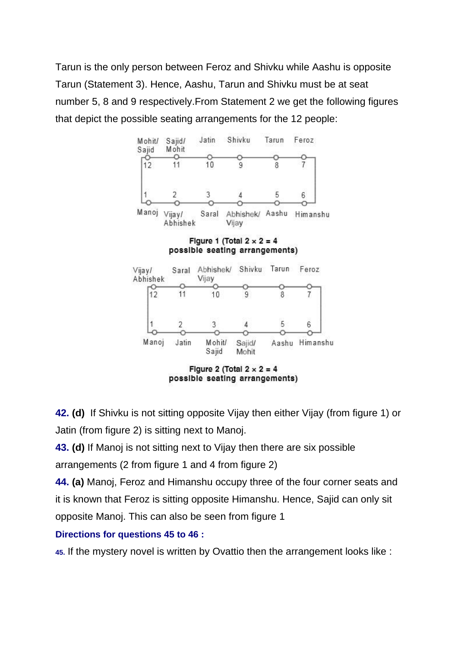Tarun is the only person between Feroz and Shivku while Aashu is opposite Tarun (Statement 3). Hence, Aashu, Tarun and Shivku must be at seat number 5, 8 and 9 respectively.From Statement 2 we get the following figures that depict the possible seating arrangements for the 12 people:



**42. (d)** If Shivku is not sitting opposite Vijay then either Vijay (from figure 1) or Jatin (from figure 2) is sitting next to Manoj.

**43. (d)** If Manoj is not sitting next to Vijay then there are six possible arrangements (2 from figure 1 and 4 from figure 2)

**44. (a)** Manoj, Feroz and Himanshu occupy three of the four corner seats and it is known that Feroz is sitting opposite Himanshu. Hence, Sajid can only sit opposite Manoj. This can also be seen from figure 1

#### **Directions for questions 45 to 46 :**

**45.** If the mystery novel is written by Ovattio then the arrangement looks like :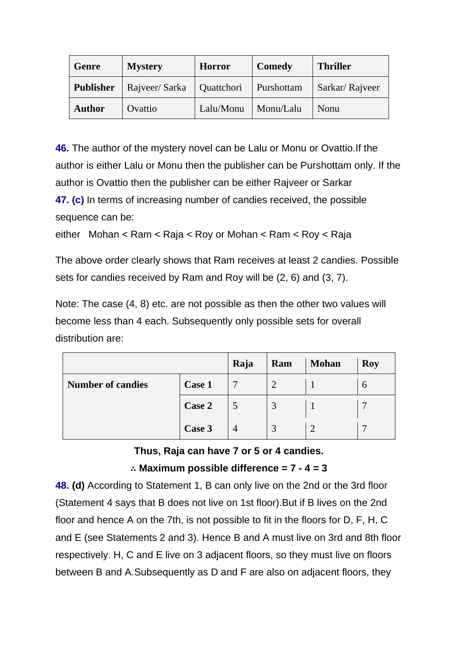| Genre         | <b>Mystery</b>             | <b>Horror</b> | Comedy     | <b>Thriller</b> |
|---------------|----------------------------|---------------|------------|-----------------|
| Publisher     | Rajveer/Sarka   Quattchori |               | Purshottam | Sarkar/Rajveer  |
| <b>Author</b> | Ovattio                    | Lalu/Monu     | Monu/Lalu  | Nonu            |

**46.** The author of the mystery novel can be Lalu or Monu or Ovattio.If the author is either Lalu or Monu then the publisher can be Purshottam only. If the author is Ovattio then the publisher can be either Rajveer or Sarkar **47. (c)** In terms of increasing number of candies received, the possible sequence can be:

```
either Mohan < Ram < Raja < Roy or Mohan < Ram < Roy < Raja
```
The above order clearly shows that Ram receives at least 2 candies. Possible sets for candies received by Ram and Roy will be (2, 6) and (3, 7).

Note: The case (4, 8) etc. are not possible as then the other two values will become less than 4 each. Subsequently only possible sets for overall distribution are:

|                          |        | Raja | Ram | <b>Mohan</b> | <b>Roy</b>  |
|--------------------------|--------|------|-----|--------------|-------------|
| <b>Number of candies</b> | Case 1 |      |     |              | $\mathbf b$ |
|                          | Case 2 |      |     |              |             |
|                          | Case 3 |      |     | ി            |             |

**Thus, Raja can have 7 or 5 or 4 candies.**

## ∴ **Maximum possible difference = 7 - 4 = 3**

**48. (d)** According to Statement 1, B can only live on the 2nd or the 3rd floor (Statement 4 says that B does not live on 1st floor).But if B lives on the 2nd floor and hence A on the 7th, is not possible to fit in the floors for D, F, H, C and E (see Statements 2 and 3). Hence B and A must live on 3rd and 8th floor respectively. H, C and E live on 3 adjacent floors, so they must live on floors between B and A.Subsequently as D and F are also on adjacent floors, they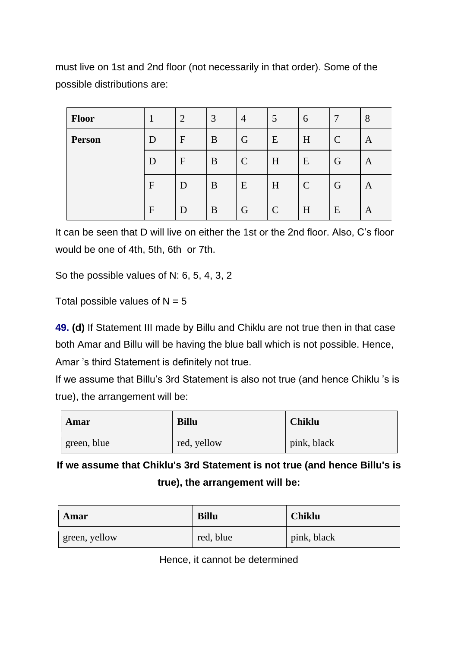must live on 1st and 2nd floor (not necessarily in that order). Some of the possible distributions are:

| Floor         |              | $\overline{2}$ | 3 | $\overline{4}$ | 5           | 6             | 7             | 8 |
|---------------|--------------|----------------|---|----------------|-------------|---------------|---------------|---|
| <b>Person</b> | D            | $\mathbf F$    | B | G              | E           | H             | $\mathcal{C}$ | A |
|               | D            | $\mathbf{F}$   | B | $\mathbf C$    | H           | E             | G             | A |
|               | $\mathbf{F}$ | D              | B | E              | H           | $\mathcal{C}$ | G             | A |
|               | $\mathbf{F}$ | D              | B | G              | $\mathbf C$ | H             | E             | A |

It can be seen that D will live on either the 1st or the 2nd floor. Also, C's floor would be one of 4th, 5th, 6th or 7th.

So the possible values of N: 6, 5, 4, 3, 2

Total possible values of  $N = 5$ 

**49. (d)** If Statement III made by Billu and Chiklu are not true then in that case both Amar and Billu will be having the blue ball which is not possible. Hence, Amar 's third Statement is definitely not true.

If we assume that Billu's 3rd Statement is also not true (and hence Chiklu 's is true), the arrangement will be:

| Amar        | <b>Billu</b> | <b>Chiklu</b> |
|-------------|--------------|---------------|
| green, blue | red, yellow  | pink, black   |

**If we assume that Chiklu's 3rd Statement is not true (and hence Billu's is true), the arrangement will be:**

| Amar          | <b>Billu</b> | <b>Chiklu</b> |
|---------------|--------------|---------------|
| green, yellow | red, blue    | pink, black   |

Hence, it cannot be determined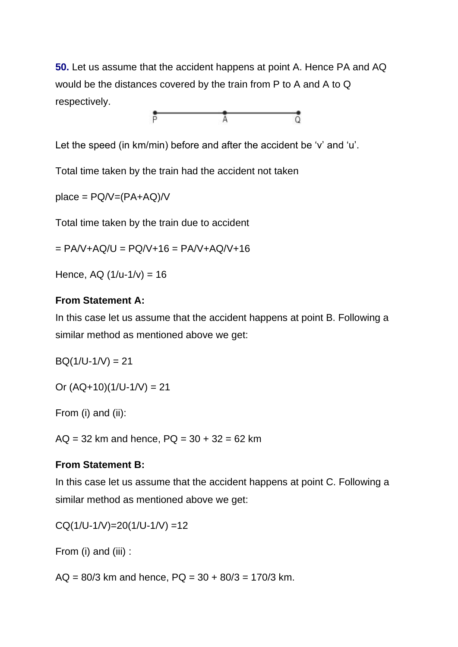**50.** Let us assume that the accident happens at point A. Hence PA and AQ would be the distances covered by the train from P to A and A to Q respectively.



Let the speed (in km/min) before and after the accident be 'v' and 'u'.

Total time taken by the train had the accident not taken

 $place = PQ/V = (PA + AQ)/V$ 

Total time taken by the train due to accident

 $= PA/V+AQ/U = PQ/V+16 = PA/V+AQ/V+16$ 

Hence, AQ  $(1/u-1/v) = 16$ 

#### **From Statement A:**

In this case let us assume that the accident happens at point B. Following a similar method as mentioned above we get:

 $BQ(1/U-1/V) = 21$ 

Or  $(AQ+10)(1/U-1/V) = 21$ 

From (i) and (ii):

 $AQ = 32$  km and hence,  $PQ = 30 + 32 = 62$  km

#### **From Statement B:**

In this case let us assume that the accident happens at point C. Following a similar method as mentioned above we get:

 $CQ(1/U-1/V)=20(1/U-1/V) =12$ 

From (i) and (iii) :

 $AQ = 80/3$  km and hence,  $PQ = 30 + 80/3 = 170/3$  km.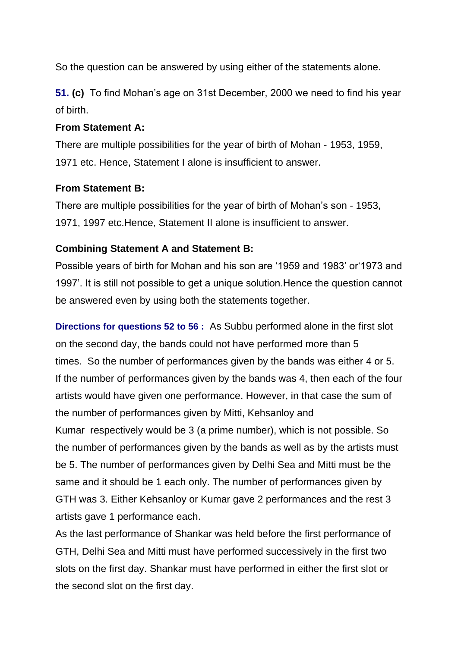So the question can be answered by using either of the statements alone.

**51. (c)** To find Mohan's age on 31st December, 2000 we need to find his year of birth.

#### **From Statement A:**

There are multiple possibilities for the year of birth of Mohan - 1953, 1959, 1971 etc. Hence, Statement I alone is insufficient to answer.

#### **From Statement B:**

There are multiple possibilities for the year of birth of Mohan's son - 1953, 1971, 1997 etc.Hence, Statement II alone is insufficient to answer.

#### **Combining Statement A and Statement B:**

Possible years of birth for Mohan and his son are '1959 and 1983' or'1973 and 1997'. It is still not possible to get a unique solution.Hence the question cannot be answered even by using both the statements together.

**Directions for questions 52 to 56 :** As Subbu performed alone in the first slot on the second day, the bands could not have performed more than 5 times. So the number of performances given by the bands was either 4 or 5. If the number of performances given by the bands was 4, then each of the four artists would have given one performance. However, in that case the sum of the number of performances given by Mitti, Kehsanloy and Kumar respectively would be 3 (a prime number), which is not possible. So the number of performances given by the bands as well as by the artists must be 5. The number of performances given by Delhi Sea and Mitti must be the same and it should be 1 each only. The number of performances given by GTH was 3. Either Kehsanloy or Kumar gave 2 performances and the rest 3 artists gave 1 performance each.

As the last performance of Shankar was held before the first performance of GTH, Delhi Sea and Mitti must have performed successively in the first two slots on the first day. Shankar must have performed in either the first slot or the second slot on the first day.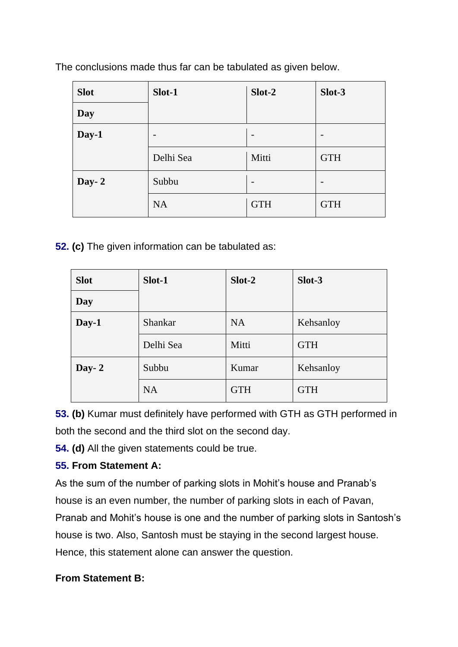The conclusions made thus far can be tabulated as given below.

| <b>Slot</b> | Slot-1                   | Slot-2                   | Slot-3                   |
|-------------|--------------------------|--------------------------|--------------------------|
| Day         |                          |                          |                          |
| Day-1       | $\overline{\phantom{0}}$ | $\overline{\phantom{a}}$ | $\overline{\phantom{0}}$ |
|             | Delhi Sea                | Mitti                    | <b>GTH</b>               |
| Day- $2$    | Subbu                    | $\overline{\phantom{a}}$ | $\overline{\phantom{0}}$ |
|             | <b>NA</b>                | <b>GTH</b>               | <b>GTH</b>               |

**52. (c)** The given information can be tabulated as:

| <b>Slot</b> | Slot-1    | $Slot-2$   | Slot-3     |
|-------------|-----------|------------|------------|
| Day         |           |            |            |
| Day-1       | Shankar   | <b>NA</b>  | Kehsanloy  |
|             | Delhi Sea | Mitti      | <b>GTH</b> |
| Day- $2$    | Subbu     | Kumar      | Kehsanloy  |
|             | <b>NA</b> | <b>GTH</b> | <b>GTH</b> |

**53. (b)** Kumar must definitely have performed with GTH as GTH performed in both the second and the third slot on the second day.

**54. (d)** All the given statements could be true.

## **55. From Statement A:**

As the sum of the number of parking slots in Mohit's house and Pranab's house is an even number, the number of parking slots in each of Pavan, Pranab and Mohit's house is one and the number of parking slots in Santosh's house is two. Also, Santosh must be staying in the second largest house. Hence, this statement alone can answer the question.

## **From Statement B:**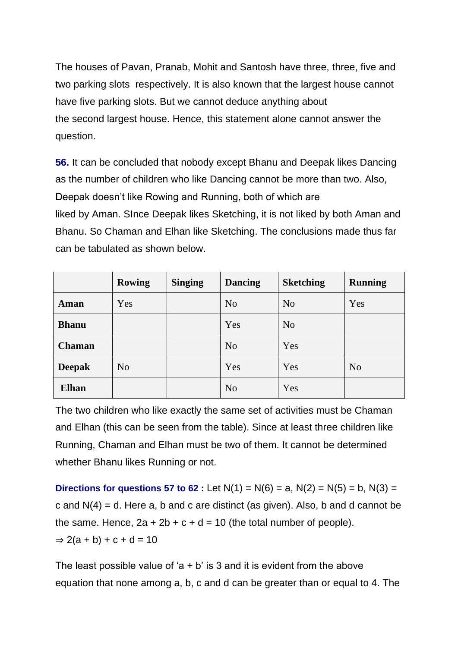The houses of Pavan, Pranab, Mohit and Santosh have three, three, five and two parking slots respectively. It is also known that the largest house cannot have five parking slots. But we cannot deduce anything about the second largest house. Hence, this statement alone cannot answer the question.

**56.** It can be concluded that nobody except Bhanu and Deepak likes Dancing as the number of children who like Dancing cannot be more than two. Also, Deepak doesn't like Rowing and Running, both of which are liked by Aman. SInce Deepak likes Sketching, it is not liked by both Aman and Bhanu. So Chaman and Elhan like Sketching. The conclusions made thus far can be tabulated as shown below.

|               | <b>Rowing</b>  | <b>Singing</b> | <b>Dancing</b> | <b>Sketching</b> | <b>Running</b> |
|---------------|----------------|----------------|----------------|------------------|----------------|
| Aman          | Yes            |                | N <sub>o</sub> | N <sub>0</sub>   | Yes            |
| <b>Bhanu</b>  |                |                | Yes            | N <sub>o</sub>   |                |
| <b>Chaman</b> |                |                | N <sub>o</sub> | Yes              |                |
| <b>Deepak</b> | N <sub>o</sub> |                | Yes            | Yes              | N <sub>o</sub> |
| <b>Elhan</b>  |                |                | N <sub>o</sub> | Yes              |                |

The two children who like exactly the same set of activities must be Chaman and Elhan (this can be seen from the table). Since at least three children like Running, Chaman and Elhan must be two of them. It cannot be determined whether Bhanu likes Running or not.

**Directions for questions 57 to 62 :** Let  $N(1) = N(6) = a$ ,  $N(2) = N(5) = b$ ,  $N(3) =$ c and  $N(4) = d$ . Here a, b and c are distinct (as given). Also, b and d cannot be the same. Hence,  $2a + 2b + c + d = 10$  (the total number of people).  $\Rightarrow$  2(a + b) + c + d = 10

The least possible value of 'a  $+$  b' is 3 and it is evident from the above equation that none among a, b, c and d can be greater than or equal to 4. The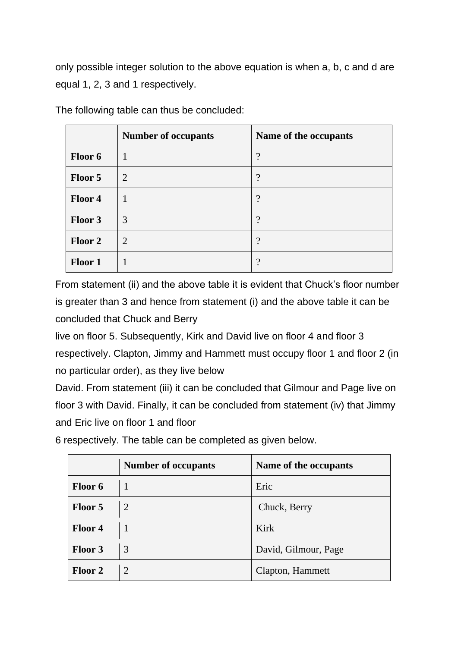only possible integer solution to the above equation is when a, b, c and d are equal 1, 2, 3 and 1 respectively.

|                | <b>Number of occupants</b> | Name of the occupants |
|----------------|----------------------------|-----------------------|
| Floor 6        | 1                          | $\ddot{?}$            |
| Floor 5        | 2                          | $\overline{\cdot}$    |
| Floor 4        |                            | $\gamma$              |
| Floor 3        | 3                          | $\overline{?}$        |
| Floor 2        | 2                          | $\ddot{?}$            |
| <b>Floor 1</b> |                            | $\cdot$               |

The following table can thus be concluded:

From statement (ii) and the above table it is evident that Chuck's floor number is greater than 3 and hence from statement (i) and the above table it can be concluded that Chuck and Berry

live on floor 5. Subsequently, Kirk and David live on floor 4 and floor 3 respectively. Clapton, Jimmy and Hammett must occupy floor 1 and floor 2 (in no particular order), as they live below

David. From statement (iii) it can be concluded that Gilmour and Page live on floor 3 with David. Finally, it can be concluded from statement (iv) that Jimmy and Eric live on floor 1 and floor

|                | <b>Number of occupants</b> | Name of the occupants |
|----------------|----------------------------|-----------------------|
| Floor 6        |                            | Eric                  |
| Floor 5        | 2                          | Chuck, Berry          |
| <b>Floor 4</b> |                            | Kirk                  |
| <b>Floor 3</b> | 3                          | David, Gilmour, Page  |
| <b>Floor 2</b> | 2                          | Clapton, Hammett      |

6 respectively. The table can be completed as given below.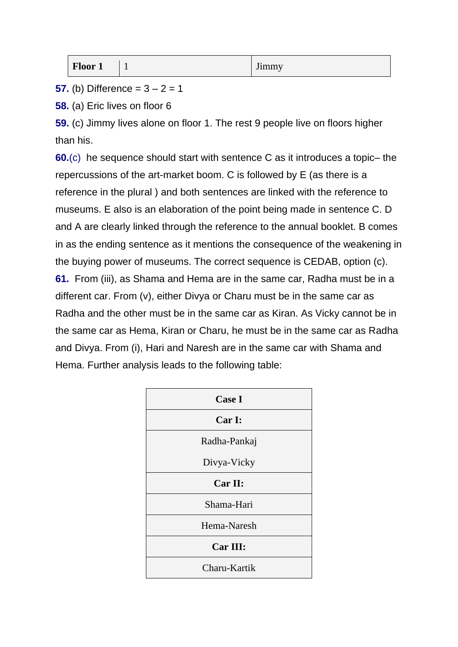| Floor 1 | - | $-$<br><b>Jimmy</b> |
|---------|---|---------------------|
|---------|---|---------------------|

**57.** (b) Difference =  $3 - 2 = 1$ 

**58.** (a) Eric lives on floor 6

**59.** (c) Jimmy lives alone on floor 1. The rest 9 people live on floors higher than his.

**60.**(c) he sequence should start with sentence C as it introduces a topic– the repercussions of the art-market boom. C is followed by E (as there is a reference in the plural ) and both sentences are linked with the reference to museums. E also is an elaboration of the point being made in sentence C. D and A are clearly linked through the reference to the annual booklet. B comes in as the ending sentence as it mentions the consequence of the weakening in the buying power of museums. The correct sequence is CEDAB, option (c). **61.** From (iii), as Shama and Hema are in the same car, Radha must be in a different car. From (v), either Divya or Charu must be in the same car as Radha and the other must be in the same car as Kiran. As Vicky cannot be in the same car as Hema, Kiran or Charu, he must be in the same car as Radha and Divya. From (i), Hari and Naresh are in the same car with Shama and Hema. Further analysis leads to the following table:

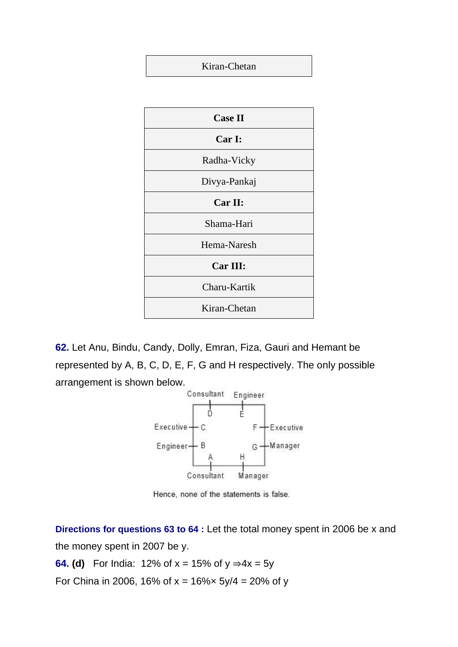#### Kiran-Chetan



**62.** Let Anu, Bindu, Candy, Dolly, Emran, Fiza, Gauri and Hemant be represented by A, B, C, D, E, F, G and H respectively. The only possible arrangement is shown below.



Hence, none of the statements is false.

**Directions for questions 63 to 64 :** Let the total money spent in 2006 be x and the money spent in 2007 be y.

**64. (d)** For India: 12% of  $x = 15%$  of  $y ⇒ 4x = 5y$ 

For China in 2006, 16% of  $x = 16\% \times 5y/4 = 20\%$  of y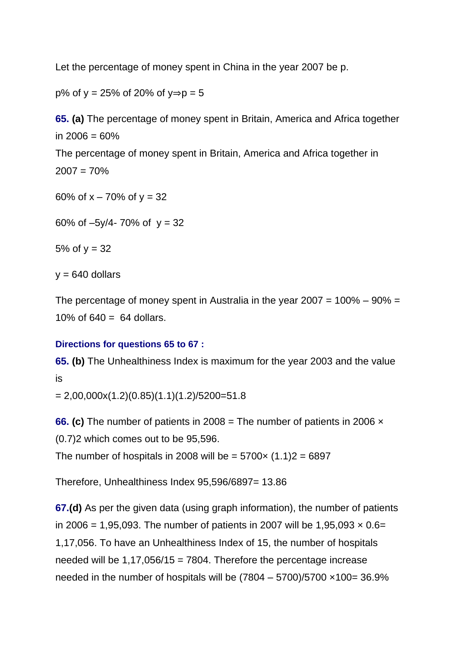Let the percentage of money spent in China in the year 2007 be p.

p% of y = 25% of 20% of y⇒p = 5

**65. (a)** The percentage of money spent in Britain, America and Africa together in 2006 = 60% The percentage of money spent in Britain, America and Africa together in  $2007 = 70\%$ 60% of  $x - 70$ % of  $y = 32$ 60% of  $-5y/4 - 70$ % of  $y = 32$ 5% of  $y = 32$  $y = 640$  dollars

The percentage of money spent in Australia in the year  $2007 = 100\% - 90\% =$ 10% of  $640 = 64$  dollars.

## **Directions for questions 65 to 67 :**

**65. (b)** The Unhealthiness Index is maximum for the year 2003 and the value is

 $= 2,00,000x(1.2)(0.85)(1.1)(1.2)/5200=51.8$ 

**66. (c)** The number of patients in 2008 = The number of patients in 2006 × (0.7)2 which comes out to be 95,596.

The number of hospitals in 2008 will be =  $5700 \times (1.1)2 = 6897$ 

Therefore, Unhealthiness Index 95,596/6897= 13.86

**67.(d)** As per the given data (using graph information), the number of patients in 2006 = 1,95,093. The number of patients in 2007 will be 1,95,093  $\times$  0.6= 1,17,056. To have an Unhealthiness Index of 15, the number of hospitals needed will be  $1,17,056/15 = 7804$ . Therefore the percentage increase needed in the number of hospitals will be  $(7804 - 5700)/5700 \times 100 = 36.9\%$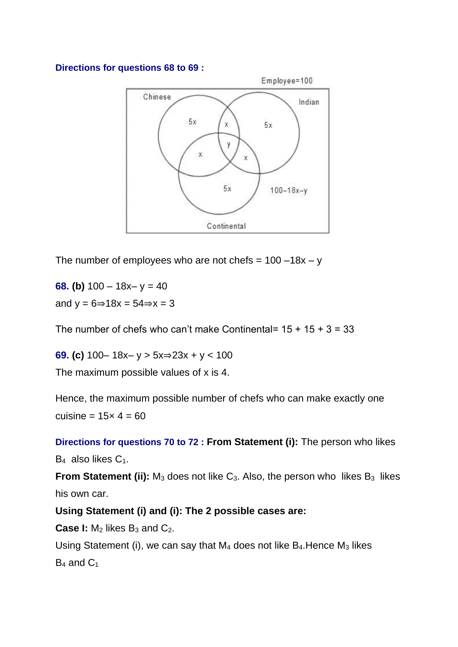#### **Directions for questions 68 to 69 :**



The number of employees who are not chefs =  $100 - 18x - y$ 

**68. (b)**  $100 - 18x - y = 40$ and  $y = 6 \Rightarrow 18x = 54 \Rightarrow x = 3$ 

The number of chefs who can't make Continental=  $15 + 15 + 3 = 33$ 

**69. (c)** 100– 18x– y > 5x⇒23x + y < 100

The maximum possible values of x is 4.

Hence, the maximum possible number of chefs who can make exactly one cuisine =  $15 \times 4 = 60$ 

**Directions for questions 70 to 72 : From Statement (i):** The person who likes B<sub>4</sub> also likes C<sub>1</sub>.

**From Statement (ii):** M<sub>3</sub> does not like C<sub>3</sub>. Also, the person who likes B<sub>3</sub> likes his own car.

**Using Statement (i) and (i): The 2 possible cases are:**

**Case I:** M<sub>2</sub> likes B<sub>3</sub> and C<sub>2</sub>.

Using Statement (i), we can say that  $M_4$  does not like  $B_4$ . Hence  $M_3$  likes B<sub>4</sub> and C<sub>1</sub>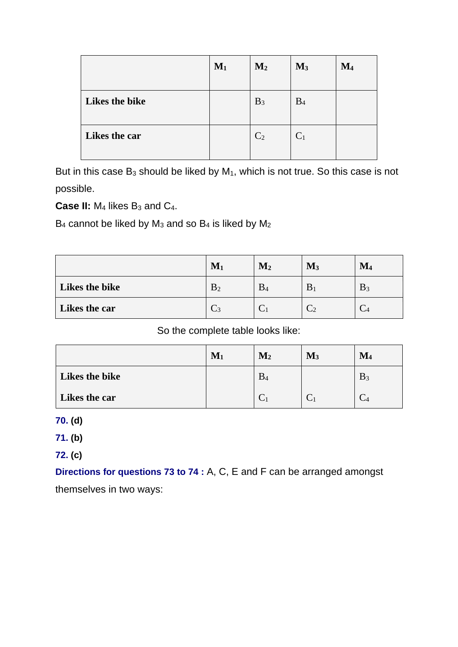|                | $M_1$ | M <sub>2</sub> | $M_3$          | $\mathbf{M}_4$ |
|----------------|-------|----------------|----------------|----------------|
| Likes the bike |       |                |                |                |
|                |       | $B_3$          | B <sub>4</sub> |                |
| Likes the car  |       | C <sub>2</sub> | C <sub>1</sub> |                |
|                |       |                |                |                |

But in this case  $B_3$  should be liked by  $M_1$ , which is not true. So this case is not possible.

**Case II:** M<sub>4</sub> likes B<sub>3</sub> and C<sub>4</sub>.

 $B_4$  cannot be liked by  $M_3$  and so  $B_4$  is liked by  $M_2$ 

|                | $\mathbf{M}_1$ | $\mathbf{M}_2$ | $\mathbf{M}_3$ | $\mathbf{M}_4$ |
|----------------|----------------|----------------|----------------|----------------|
| Likes the bike | B <sub>2</sub> | $B_4$          | B              | $B_3$          |
| Likes the car  | $\mathrm{C}_3$ |                |                |                |

So the complete table looks like:

|                | $M1$ | $\mathbf{M}_2$ | $\mathbf{M}_3$ | $\mathbf{M}_4$ |
|----------------|------|----------------|----------------|----------------|
| Likes the bike |      | $\mathrm{B}_4$ |                | $B_3$          |
| Likes the car  |      |                |                |                |

**70. (d)**

**71. (b)**

**72. (c)**

**Directions for questions 73 to 74 :** A, C, E and F can be arranged amongst themselves in two ways: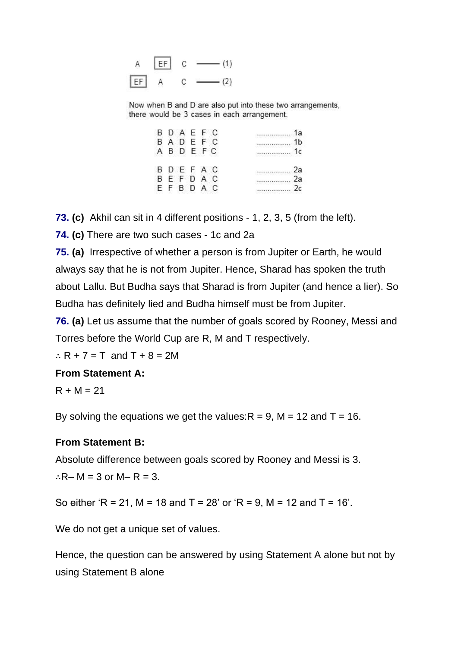

Now when B and D are also put into these two arrangements, there would be 3 cases in each arrangement.

|  | BDAEFC |  | 로나타 사진 신화가 강화 보호하다    |
|--|--------|--|-----------------------|
|  | BADEFC |  |                       |
|  | ABDEFC |  | 단위 가장 사람 전쟁 기간 대회에서 사 |
|  | BDEFAC |  |                       |
|  | BEFDAC |  | -962-999-99           |
|  | EFBDAC |  |                       |

**73. (c)** Akhil can sit in 4 different positions - 1, 2, 3, 5 (from the left).

**74. (c)** There are two such cases - 1c and 2a

**75. (a)** Irrespective of whether a person is from Jupiter or Earth, he would always say that he is not from Jupiter. Hence, Sharad has spoken the truth about Lallu. But Budha says that Sharad is from Jupiter (and hence a lier). So Budha has definitely lied and Budha himself must be from Jupiter.

**76. (a)** Let us assume that the number of goals scored by Rooney, Messi and Torres before the World Cup are R, M and T respectively.

 $\therefore$  R + 7 = T and T + 8 = 2M

#### **From Statement A:**

 $R + M = 21$ 

By solving the equations we get the values:  $R = 9$ ,  $M = 12$  and  $T = 16$ .

#### **From Statement B:**

Absolute difference between goals scored by Rooney and Messi is 3. ∴R– M = 3 or M– R = 3.

So either 'R = 21, M = 18 and T = 28' or 'R = 9, M = 12 and T = 16'.

We do not get a unique set of values.

Hence, the question can be answered by using Statement A alone but not by using Statement B alone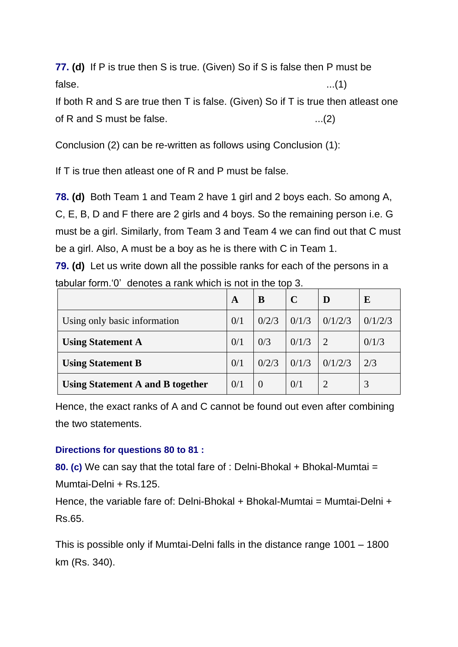**77. (d)** If P is true then S is true. (Given) So if S is false then P must be  $\mathsf{false} \tag{1}$ 

If both R and S are true then T is false. (Given) So if T is true then atleast one of R and S must be false.  $...(2)$ 

Conclusion (2) can be re-written as follows using Conclusion (1):

If T is true then atleast one of R and P must be false.

**78. (d)** Both Team 1 and Team 2 have 1 girl and 2 boys each. So among A, C, E, B, D and F there are 2 girls and 4 boys. So the remaining person i.e. G must be a girl. Similarly, from Team 3 and Team 4 we can find out that C must be a girl. Also, A must be a boy as he is there with C in Team 1.

**79. (d)** Let us write down all the possible ranks for each of the persons in a tabular form.'0' denotes a rank which is not in the top 3.

|                                         | A   | B                | $\mathbf C$ | D       | E       |
|-----------------------------------------|-----|------------------|-------------|---------|---------|
| Using only basic information            | 0/1 | 0/2/3            | 0/1/3       | 0/1/2/3 | 0/1/2/3 |
| <b>Using Statement A</b>                | 0/1 | 0/3              | 0/1/3       |         | 0/1/3   |
| <b>Using Statement B</b>                | 0/1 | 0/2/3            | 0/1/3       | 0/1/2/3 | 2/3     |
| <b>Using Statement A and B together</b> | 0/1 | $\left( \right)$ | 0/1         |         |         |

Hence, the exact ranks of A and C cannot be found out even after combining the two statements.

#### **Directions for questions 80 to 81 :**

**80. (c)** We can say that the total fare of : Delni-Bhokal + Bhokal-Mumtai = Mumtai-Delni + Rs.125.

Hence, the variable fare of: Delni-Bhokal + Bhokal-Mumtai = Mumtai-Delni + Rs.65.

This is possible only if Mumtai-Delni falls in the distance range 1001 – 1800 km (Rs. 340).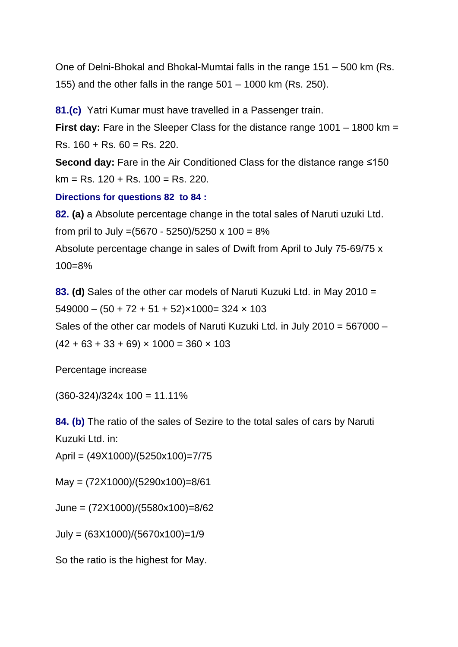One of Delni-Bhokal and Bhokal-Mumtai falls in the range 151 – 500 km (Rs. 155) and the other falls in the range 501 – 1000 km (Rs. 250).

**81.(c)** Yatri Kumar must have travelled in a Passenger train.

**First day:** Fare in the Sleeper Class for the distance range 1001 – 1800 km = Rs. 160 + Rs. 60 = Rs. 220.

**Second day:** Fare in the Air Conditioned Class for the distance range ≤150  $km = Rs. 120 + Rs. 100 = Rs. 220.$ 

#### **Directions for questions 82 to 84 :**

**82. (a)** a Absolute percentage change in the total sales of Naruti uzuki Ltd. from pril to July =  $(5670 - 5250)/5250 \times 100 = 8\%$ Absolute percentage change in sales of Dwift from April to July 75-69/75 x 100=8%

**83. (d)** Sales of the other car models of Naruti Kuzuki Ltd. in May 2010 =  $549000 - (50 + 72 + 51 + 52) \times 1000 = 324 \times 103$ Sales of the other car models of Naruti Kuzuki Ltd. in July 2010 = 567000 –  $(42 + 63 + 33 + 69) \times 1000 = 360 \times 103$ 

Percentage increase

 $(360-324)/324x 100 = 11.11%$ 

**84. (b)** The ratio of the sales of Sezire to the total sales of cars by Naruti Kuzuki Ltd. in:

April = (49X1000)/(5250x100)=7/75

May = (72X1000)/(5290x100)=8/61

June = (72X1000)/(5580x100)=8/62

July = (63X1000)/(5670x100)=1/9

So the ratio is the highest for May.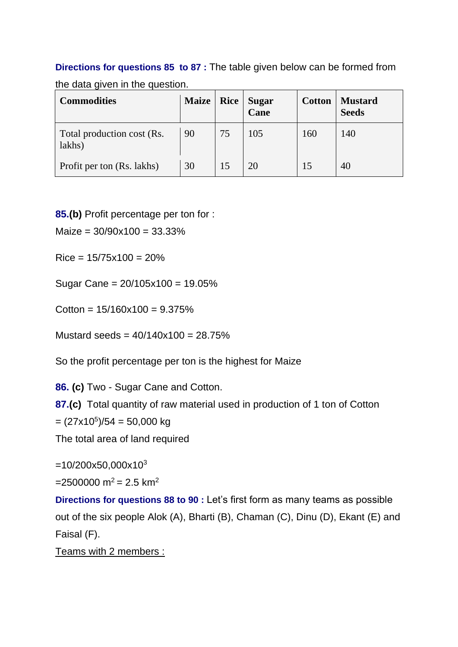# **Directions for questions 85 to 87 :** The table given below can be formed from

| <b>Commodities</b>                   | <b>Maize</b> | Rice | <b>Sugar</b><br>Cane | <b>Cotton</b> | <b>Mustard</b><br><b>Seeds</b> |  |
|--------------------------------------|--------------|------|----------------------|---------------|--------------------------------|--|
| Total production cost (Rs.<br>lakhs) | 90           | 75   | 105                  | 160           | 140                            |  |
| Profit per ton (Rs. lakhs)           | 30           |      |                      |               |                                |  |

the data given in the question

**85.(b)** Profit percentage per ton for :

 $Majze = 30/90x100 = 33.33%$ 

 $Rice = 15/75x100 = 20%$ 

Sugar Cane = 20/105x100 = 19.05%

 $Cotton = 15/160x100 = 9.375%$ 

Mustard seeds =  $40/140x100 = 28.75%$ 

So the profit percentage per ton is the highest for Maize

**86. (c)** Two - Sugar Cane and Cotton.

**87.(c)** Total quantity of raw material used in production of 1 ton of Cotton

 $= (27 \times 10^5)/54 = 50,000$  kg

The total area of land required

 $=10/200x50,000x10^{3}$ 

 $=2500000 \text{ m}^2 = 2.5 \text{ km}^2$ 

**Directions for questions 88 to 90 :** Let's first form as many teams as possible out of the six people Alok (A), Bharti (B), Chaman (C), Dinu (D), Ekant (E) and Faisal (F).

Teams with 2 members :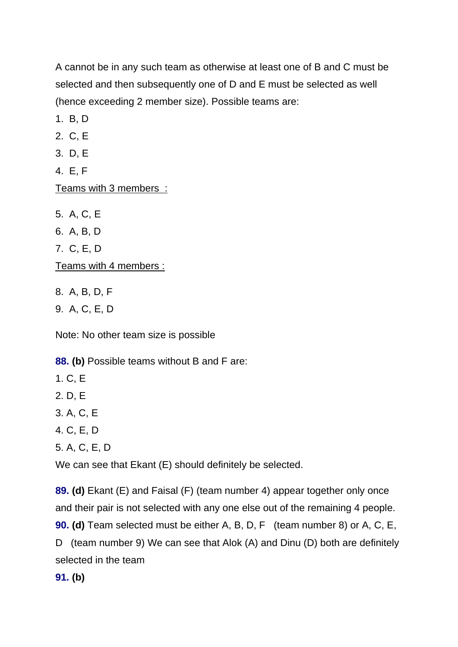A cannot be in any such team as otherwise at least one of B and C must be selected and then subsequently one of D and E must be selected as well (hence exceeding 2 member size). Possible teams are:

1. B, D

2. C, E

3. D, E

4. E, F

Teams with 3 members :

5. A, C, E 6. A, B, D 7. C, E, D Teams with 4 members :

8. A, B, D, F

9. A, C, E, D

Note: No other team size is possible

**88. (b)** Possible teams without B and F are:

1. C, E

2. D, E

3. A, C, E

4. C, E, D

5. A, C, E, D

We can see that Ekant (E) should definitely be selected.

**89. (d)** Ekant (E) and Faisal (F) (team number 4) appear together only once and their pair is not selected with any one else out of the remaining 4 people. **90. (d)** Team selected must be either A, B, D, F (team number 8) or A, C, E, D (team number 9) We can see that Alok (A) and Dinu (D) both are definitely selected in the team

**91. (b)**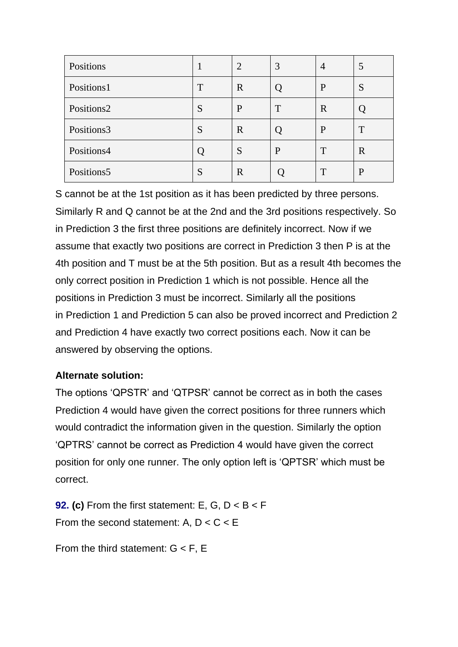| Positions  |   | $\overline{2}$ | 3 | 4            | 5 |
|------------|---|----------------|---|--------------|---|
| Positions1 | T | $\mathbf R$    | Ő | P            | S |
| Positions2 | S | P              | T | $\mathbb{R}$ |   |
| Positions3 | S | $\mathbf R$    | Ő | P            | T |
| Positions4 |   | S              | P | T            | R |
| Positions5 | S | $\mathbf R$    |   | T            | P |

S cannot be at the 1st position as it has been predicted by three persons. Similarly R and Q cannot be at the 2nd and the 3rd positions respectively. So in Prediction 3 the first three positions are definitely incorrect. Now if we assume that exactly two positions are correct in Prediction 3 then P is at the 4th position and T must be at the 5th position. But as a result 4th becomes the only correct position in Prediction 1 which is not possible. Hence all the positions in Prediction 3 must be incorrect. Similarly all the positions in Prediction 1 and Prediction 5 can also be proved incorrect and Prediction 2 and Prediction 4 have exactly two correct positions each. Now it can be answered by observing the options.

## **Alternate solution:**

The options 'QPSTR' and 'QTPSR' cannot be correct as in both the cases Prediction 4 would have given the correct positions for three runners which would contradict the information given in the question. Similarly the option 'QPTRS' cannot be correct as Prediction 4 would have given the correct position for only one runner. The only option left is 'QPTSR' which must be correct.

**92. (c)** From the first statement: E, G,  $D < B < F$ From the second statement: A,  $D < C < E$ 

From the third statement:  $G < F$ , E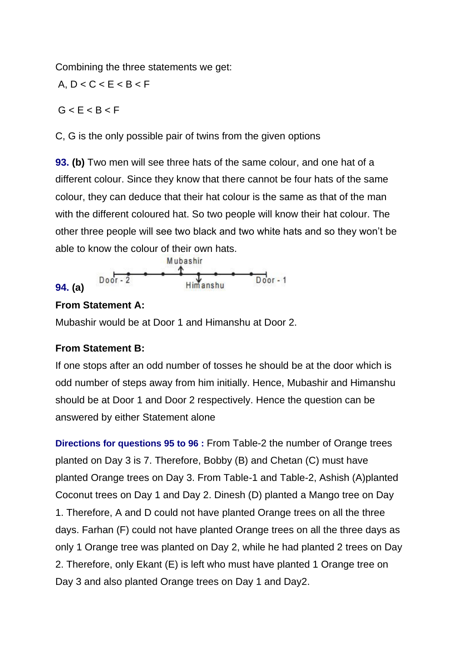Combining the three statements we get:

A,  $D < C < E < B < F$ 

 $G < E < B < F$ 

C, G is the only possible pair of twins from the given options

**93. (b)** Two men will see three hats of the same colour, and one hat of a different colour. Since they know that there cannot be four hats of the same colour, they can deduce that their hat colour is the same as that of the man with the different coloured hat. So two people will know their hat colour. The other three people will see two black and two white hats and so they won't be able to know the colour of their own hats.



## **From Statement A:**

Mubashir would be at Door 1 and Himanshu at Door 2.

## **From Statement B:**

If one stops after an odd number of tosses he should be at the door which is odd number of steps away from him initially. Hence, Mubashir and Himanshu should be at Door 1 and Door 2 respectively. Hence the question can be answered by either Statement alone

**Directions for questions 95 to 96 :** From Table-2 the number of Orange trees planted on Day 3 is 7. Therefore, Bobby (B) and Chetan (C) must have planted Orange trees on Day 3. From Table-1 and Table-2, Ashish (A)planted Coconut trees on Day 1 and Day 2. Dinesh (D) planted a Mango tree on Day 1. Therefore, A and D could not have planted Orange trees on all the three days. Farhan (F) could not have planted Orange trees on all the three days as only 1 Orange tree was planted on Day 2, while he had planted 2 trees on Day 2. Therefore, only Ekant (E) is left who must have planted 1 Orange tree on Day 3 and also planted Orange trees on Day 1 and Day2.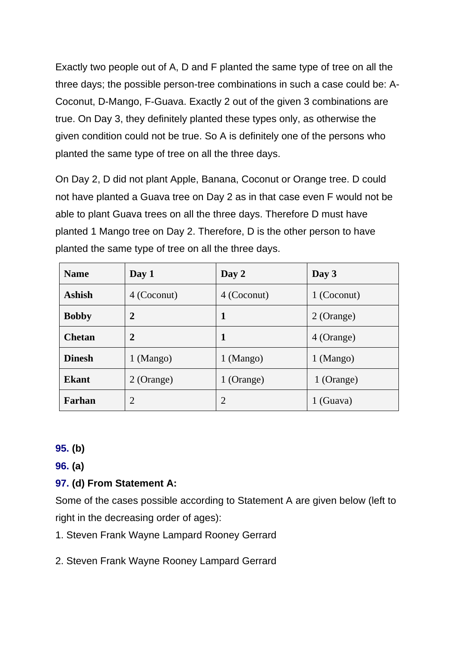Exactly two people out of A, D and F planted the same type of tree on all the three days; the possible person-tree combinations in such a case could be: A-Coconut, D-Mango, F-Guava. Exactly 2 out of the given 3 combinations are true. On Day 3, they definitely planted these types only, as otherwise the given condition could not be true. So A is definitely one of the persons who planted the same type of tree on all the three days.

On Day 2, D did not plant Apple, Banana, Coconut or Orange tree. D could not have planted a Guava tree on Day 2 as in that case even F would not be able to plant Guava trees on all the three days. Therefore D must have planted 1 Mango tree on Day 2. Therefore, D is the other person to have planted the same type of tree on all the three days.

| <b>Name</b>   | Day 1          | Day 2         | Day 3         |
|---------------|----------------|---------------|---------------|
| <b>Ashish</b> | 4 (Coconut)    | 4 (Coconut)   | 1 (Coconut)   |
| <b>Bobby</b>  | $\overline{2}$ | 1             | 2 (Orange)    |
| <b>Chetan</b> | $\overline{2}$ | 1             | 4 (Orange)    |
| <b>Dinesh</b> | $1 \,(Mango)$  | $1 \,(Mango)$ | $1 \,(Mango)$ |
| <b>Ekant</b>  | 2 (Orange)     | 1 (Orange)    | 1 (Orange)    |
| Farhan        | $\overline{2}$ | 2             | $1$ (Guava)   |

#### **95. (b)**

**96. (a)**

## **97. (d) From Statement A:**

Some of the cases possible according to Statement A are given below (left to right in the decreasing order of ages):

- 1. Steven Frank Wayne Lampard Rooney Gerrard
- 2. Steven Frank Wayne Rooney Lampard Gerrard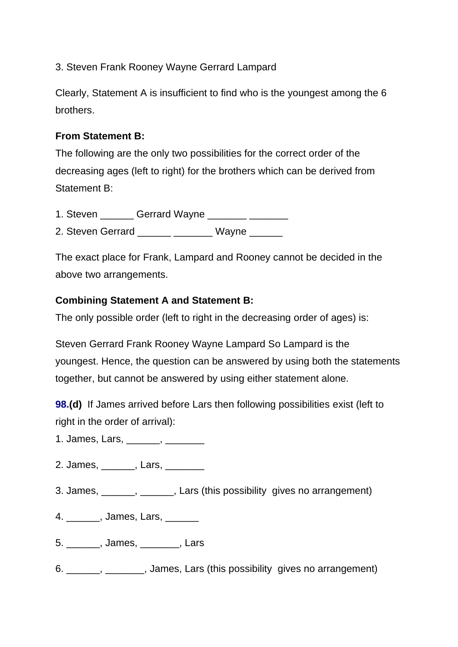3. Steven Frank Rooney Wayne Gerrard Lampard

Clearly, Statement A is insufficient to find who is the youngest among the 6 brothers.

## **From Statement B:**

The following are the only two possibilities for the correct order of the decreasing ages (left to right) for the brothers which can be derived from Statement B:

1. Steven **Gerrard Wayne <u>Community</u>** 2014

2. Steven Gerrard and Wayne Wayne

The exact place for Frank, Lampard and Rooney cannot be decided in the above two arrangements.

## **Combining Statement A and Statement B:**

The only possible order (left to right in the decreasing order of ages) is:

Steven Gerrard Frank Rooney Wayne Lampard So Lampard is the youngest. Hence, the question can be answered by using both the statements together, but cannot be answered by using either statement alone.

**98.(d)** If James arrived before Lars then following possibilities exist (left to right in the order of arrival):

- 1. James, Lars, \_\_\_\_\_\_\_, \_\_\_\_\_\_\_\_
- 2. James, \_\_\_\_\_\_\_, Lars, \_\_\_\_\_\_\_\_
- 3. James, \_\_\_\_\_\_, \_\_\_\_\_\_, Lars (this possibility gives no arrangement)
- 4. **James, Lars,**
- 5. \_\_\_\_\_\_, James, \_\_\_\_\_\_\_, Lars
- 6. \_\_\_\_\_\_, \_\_\_\_\_\_\_, James, Lars (this possibility gives no arrangement)